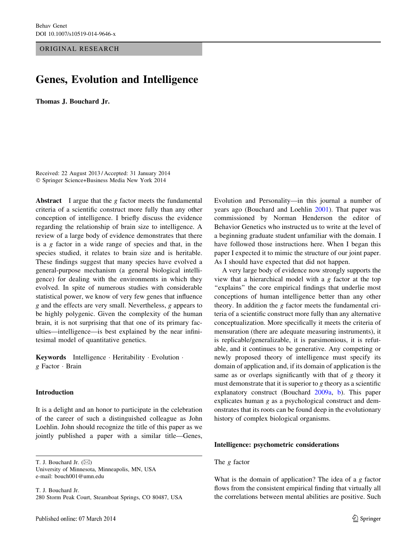ORIGINAL RESEARCH

# Genes, Evolution and Intelligence

Thomas J. Bouchard Jr.

Received: 22 August 2013 / Accepted: 31 January 2014 - Springer Science+Business Media New York 2014

Abstract I argue that the  $g$  factor meets the fundamental criteria of a scientific construct more fully than any other conception of intelligence. I briefly discuss the evidence regarding the relationship of brain size to intelligence. A review of a large body of evidence demonstrates that there is a g factor in a wide range of species and that, in the species studied, it relates to brain size and is heritable. These findings suggest that many species have evolved a general-purpose mechanism (a general biological intelligence) for dealing with the environments in which they evolved. In spite of numerous studies with considerable statistical power, we know of very few genes that influence g and the effects are very small. Nevertheless, g appears to be highly polygenic. Given the complexity of the human brain, it is not surprising that that one of its primary faculties—intelligence—is best explained by the near infinitesimal model of quantitative genetics.

Keywords Intelligence · Heritability · Evolution · g Factor - Brain

## Introduction

It is a delight and an honor to participate in the celebration of the career of such a distinguished colleague as John Loehlin. John should recognize the title of this paper as we jointly published a paper with a similar title—Genes,

T. J. Bouchard Jr.  $(\boxtimes)$ 

University of Minnesota, Minneapolis, MN, USA e-mail: bouch001@umn.edu

T. J. Bouchard Jr. 280 Storm Peak Court, Steamboat Springs, CO 80487, USA Evolution and Personality—in this journal a number of years ago (Bouchard and Loehlin [2001\)](#page-21-0). That paper was commissioned by Norman Henderson the editor of Behavior Genetics who instructed us to write at the level of a beginning graduate student unfamiliar with the domain. I have followed those instructions here. When I began this paper I expected it to mimic the structure of our joint paper. As I should have expected that did not happen.

A very large body of evidence now strongly supports the view that a hierarchical model with a g factor at the top "explains" the core empirical findings that underlie most conceptions of human intelligence better than any other theory. In addition the g factor meets the fundamental criteria of a scientific construct more fully than any alternative conceptualization. More specifically it meets the criteria of mensuration (there are adequate measuring instruments), it is replicable/generalizable, it is parsimonious, it is refutable, and it continues to be generative. Any competing or newly proposed theory of intelligence must specify its domain of application and, if its domain of application is the same as or overlaps significantly with that of g theory it must demonstrate that it is superior to g theory as a scientific explanatory construct (Bouchard [2009a,](#page-21-0) [b](#page-21-0)). This paper explicates human g as a psychological construct and demonstrates that its roots can be found deep in the evolutionary history of complex biological organisms.

#### Intelligence: psychometric considerations

## The g factor

What is the domain of application? The idea of a g factor flows from the consistent empirical finding that virtually all the correlations between mental abilities are positive. Such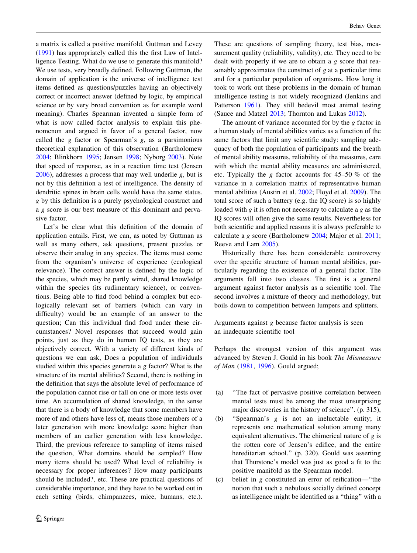a matrix is called a positive manifold. Guttman and Levey [\(1991](#page-23-0)) has appropriately called this the first Law of Intelligence Testing. What do we use to generate this manifold? We use tests, very broadly defined. Following Guttman, the domain of application is the universe of intelligence test items defined as questions/puzzles having an objectively correct or incorrect answer (defined by logic, by empirical science or by very broad convention as for example word meaning). Charles Spearman invented a simple form of what is now called factor analysis to explain this phenomenon and argued in favor of a general factor, now called the  $g$  factor or Spearman's  $g$ , as a parsimonious theoretical explanation of this observation (Bartholomew [2004;](#page-21-0) Blinkhorn [1995](#page-21-0); Jensen [1998](#page-24-0); Nyborg [2003\)](#page-26-0). Note that speed of response, as in a reaction time test (Jensen [2006\)](#page-24-0), addresses a process that may well underlie g, but is not by this definition a test of intelligence. The density of dendritic spines in brain cells would have the same status. g by this definition is a purely psychological construct and a g score is our best measure of this dominant and pervasive factor.

Let's be clear what this definition of the domain of application entails. First, we can, as noted by Guttman as well as many others, ask questions, present puzzles or observe their analog in any species. The items must come from the organism's universe of experience (ecological relevance). The correct answer is defined by the logic of the species, which may be partly wired, shared knowledge within the species (its rudimentary science), or conventions. Being able to find food behind a complex but ecologically relevant set of barriers (which can vary in difficulty) would be an example of an answer to the question; Can this individual find food under these circumstances? Novel responses that succeed would gain points, just as they do in human IQ tests, as they are objectively correct. With a variety of different kinds of questions we can ask, Does a population of individuals studied within this species generate a g factor? What is the structure of its mental abilities? Second, there is nothing in the definition that says the absolute level of performance of the population cannot rise or fall on one or more tests over time. An accumulation of shared knowledge, in the sense that there is a body of knowledge that some members have more of and others have less of, means those members of a later generation with more knowledge score higher than members of an earlier generation with less knowledge. Third, the previous reference to sampling of items raised the question, What domains should be sampled? How many items should be used? What level of reliability is necessary for proper inferences? How many participants should be included?, etc. These are practical questions of considerable importance, and they have to be worked out in each setting (birds, chimpanzees, mice, humans, etc.).

These are questions of sampling theory, test bias, measurement quality (reliability, validity), etc. They need to be dealt with properly if we are to obtain a g score that reasonably approximates the construct of  $g$  at a particular time and for a particular population of organisms. How long it took to work out these problems in the domain of human intelligence testing is not widely recognized (Jenkins and Patterson [1961\)](#page-24-0). They still bedevil most animal testing (Sauce and Matzel [2013;](#page-27-0) Thornton and Lukas [2012\)](#page-27-0).

The amount of variance accounted for by the g factor in a human study of mental abilities varies as a function of the same factors that limit any scientific study: sampling adequacy of both the population of participants and the breath of mental ability measures, reliability of the measures, care with which the mental ability measures are administered, etc. Typically the g factor accounts for 45–50 % of the variance in a correlation matrix of representative human mental abilities (Austin et al. [2002](#page-21-0); Floyd et al. [2009](#page-23-0)). The total score of such a battery (e.g. the IQ score) is so highly loaded with  $g$  it is often not necessary to calculate a  $g$  as the IQ scores will often give the same results. Nevertheless for both scientific and applied reasons it is always preferable to calculate a g score (Bartholomew [2004](#page-21-0); Major et al. [2011](#page-25-0); Reeve and Lam [2005\)](#page-26-0).

Historically there has been considerable controversy over the specific structure of human mental abilities, particularly regarding the existence of a general factor. The arguments fall into two classes. The first is a general argument against factor analysis as a scientific tool. The second involves a mixture of theory and methodology, but boils down to competition between lumpers and splitters.

Arguments against g because factor analysis is seen an inadequate scientific tool

Perhaps the strongest version of this argument was advanced by Steven J. Gould in his book The Mismeasure of Man [\(1981](#page-23-0), [1996\)](#page-23-0). Gould argued;

- (a) ''The fact of pervasive positive correlation between mental tests must be among the most unsurprising major discoveries in the history of science''. (p. 315),
- (b) ''Spearman's g is not an ineluctable entity; it represents one mathematical solution among many equivalent alternatives. The chimerical nature of  $g$  is the rotten core of Jensen's edifice, and the entire hereditarian school.'' (p. 320). Gould was asserting that Thurstone's model was just as good a fit to the positive manifold as the Spearman model.
- (c) belief in g constituted an error of reification—''the notion that such a nebulous socially defined concept as intelligence might be identified as a ''thing'' with a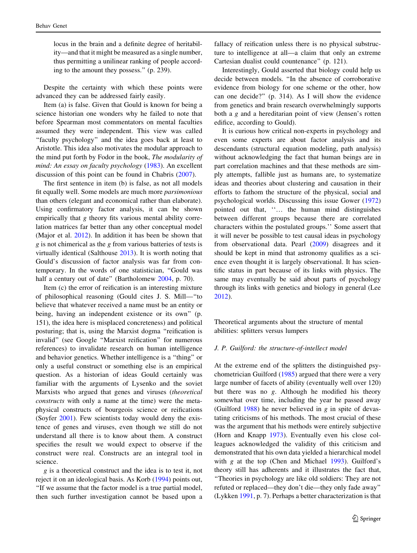locus in the brain and a definite degree of heritability—and that it might be measured as a single number, thus permitting a unilinear ranking of people according to the amount they possess.'' (p. 239).

Despite the certainty with which these points were advanced they can be addressed fairly easily.

Item (a) is false. Given that Gould is known for being a science historian one wonders why he failed to note that before Spearman most commentators on mental faculties assumed they were independent. This view was called ''faculty psychology'' and the idea goes back at least to Aristotle. This idea also motivates the modular approach to the mind put forth by Fodor in the book, The modularity of mind: An essay on faculty psychology [\(1983](#page-23-0)). An excellent discussion of this point can be found in Chabris ([2007\)](#page-22-0).

The first sentence in item (b) is false, as not all models fit equally well. Some models are much more parsimonious than others (elegant and economical rather than elaborate). Using confirmatory factor analysis, it can be shown empirically that g theory fits various mental ability correlation matrices far better than any other conceptual model (Major et al. [2012](#page-25-0)). In addition it has been be shown that  $g$  is not chimerical as the  $g$  from various batteries of tests is virtually identical (Salthouse [2013](#page-27-0)). It is worth noting that Gould's discussion of factor analysis was far from contemporary. In the words of one statistician, ''Gould was half a century out of date" (Bartholomew [2004,](#page-21-0) p. 70).

Item (c) the error of reification is an interesting mixture of philosophical reasoning (Gould cites J. S. Mill—''to believe that whatever received a name must be an entity or being, having an independent existence or its own'' (p. 151), the idea here is misplaced concreteness) and political posturing; that is, using the Marxist dogma ''reification is invalid'' (see Google ''Marxist reification'' for numerous references) to invalidate research on human intelligence and behavior genetics. Whether intelligence is a ''thing'' or only a useful construct or something else is an empirical question. As a historian of ideas Gould certainly was familiar with the arguments of Lysenko and the soviet Marxists who argued that genes and viruses (theoretical constructs with only a name at the time) were the metaphysical constructs of bourgeois science or reifications (Soyfer [2001\)](#page-27-0). Few scientists today would deny the existence of genes and viruses, even though we still do not understand all there is to know about them. A construct specifies the result we would expect to observe if the construct were real. Constructs are an integral tool in science.

g is a theoretical construct and the idea is to test it, not reject it on an ideological basis. As Korb ([1994\)](#page-25-0) points out, ''If we assume that the factor model is a true partial model, then such further investigation cannot be based upon a

fallacy of reification unless there is no physical substructure to intelligence at all—a claim that only an extreme Cartesian dualist could countenance'' (p. 121).

Interestingly, Gould asserted that biology could help us decide between models. ''In the absence of corroborative evidence from biology for one scheme or the other, how can one decide?'' (p. 314). As I will show the evidence from genetics and brain research overwhelmingly supports both a  $g$  and a hereditarian point of view (Jensen's rotten edifice, according to Gould).

It is curious how critical non-experts in psychology and even some experts are about factor analysis and its descendants (structural equation modeling, path analysis) without acknowledging the fact that human beings are in part correlation machines and that these methods are simply attempts, fallible just as humans are, to systematize ideas and theories about clustering and causation in their efforts to fathom the structure of the physical, social and psychological worlds. Discussing this issue Gower ([1972\)](#page-23-0) pointed out that, ''… the human mind distinguishes between different groups because there are correlated characters within the postulated groups.'' Some assert that it will never be possible to test causal ideas in psychology from observational data. Pearl [\(2009](#page-26-0)) disagrees and it should be kept in mind that astronomy qualifies as a science even thought it is largely observational. It has scientific status in part because of its links with physics. The same may eventually be said about parts of psychology through its links with genetics and biology in general (Lee [2012](#page-25-0)).

Theoretical arguments about the structure of mental abilities: splitters versus lumpers

#### J. P. Guilford: the structure-of-intellect model

At the extreme end of the splitters the distinguished psychometrician Guilford [\(1985](#page-23-0)) argued that there were a very large number of facets of ability (eventually well over 120) but there was no g. Although he modified his theory somewhat over time, including the year he passed away (Guilford  $1988$ ) he never believed in g in spite of devastating criticisms of his methods. The most crucial of these was the argument that his methods were entirely subjective (Horn and Knapp [1973\)](#page-24-0). Eventually even his close colleagues acknowledged the validity of this criticism and demonstrated that his own data yielded a hierarchical model with  $g$  at the top (Chen and Michael [1993\)](#page-22-0). Guilford's theory still has adherents and it illustrates the fact that, ''Theories in psychology are like old soldiers: They are not refuted or replaced—they don't die—they only fade away'' (Lykken [1991](#page-25-0), p. 7). Perhaps a better characterization is that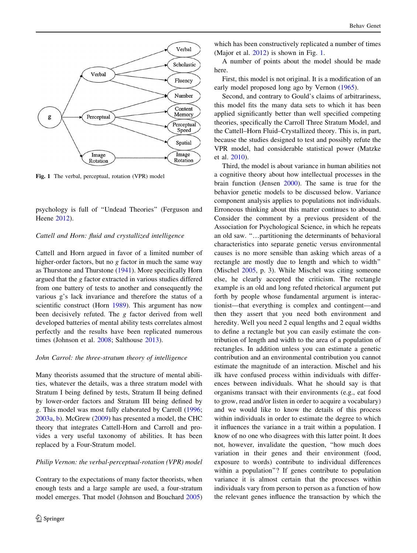<span id="page-3-0"></span>

Fig. 1 The verbal, perceptual, rotation (VPR) model

psychology is full of ''Undead Theories'' (Ferguson and Heene [2012\)](#page-23-0).

## Cattell and Horn: fluid and crystallized intelligence

Cattell and Horn argued in favor of a limited number of higher-order factors, but no g factor in much the same way as Thurstone and Thurstone [\(1941](#page-27-0)). More specifically Horn argued that the g factor extracted in various studies differed from one battery of tests to another and consequently the various g's lack invariance and therefore the status of a scientific construct (Horn [1989](#page-24-0)). This argument has now been decisively refuted. The g factor derived from well developed batteries of mental ability tests correlates almost perfectly and the results have been replicated numerous times (Johnson et al. [2008](#page-24-0); Salthouse [2013](#page-27-0)).

#### John Carrol: the three-stratum theory of intelligence

Many theorists assumed that the structure of mental abilities, whatever the details, was a three stratum model with Stratum I being defined by tests, Stratum II being defined by lower-order factors and Stratum III being defined by g. This model was most fully elaborated by Carroll [\(1996](#page-22-0); [2003a](#page-22-0), [b](#page-22-0)). McGrew ([2009\)](#page-25-0) has presented a model, the CHC theory that integrates Cattell-Horn and Carroll and provides a very useful taxonomy of abilities. It has been replaced by a Four-Stratum model.

#### Philip Vernon: the verbal-perceptual-rotation (VPR) model

Contrary to the expectations of many factor theorists, when enough tests and a large sample are used, a four-stratum model emerges. That model (Johnson and Bouchard [2005\)](#page-24-0)

which has been constructively replicated a number of times (Major et al. [2012\)](#page-25-0) is shown in Fig. 1.

A number of points about the model should be made here.

First, this model is not original. It is a modification of an early model proposed long ago by Vernon ([1965\)](#page-28-0).

Second, and contrary to Gould's claims of arbitrariness, this model fits the many data sets to which it has been applied significantly better than well specified competing theories, specifically the Carroll Three Stratum Model, and the Cattell–Horn Fluid–Crystallized theory. This is, in part, because the studies designed to test and possibly refute the VPR model, had considerable statistical power (Matzke et al. [2010\)](#page-25-0).

Third, the model is about variance in human abilities not a cognitive theory about how intellectual processes in the brain function (Jensen [2000](#page-24-0)). The same is true for the behavior genetic models to be discussed below. Variance component analysis applies to populations not individuals. Erroneous thinking about this matter continues to abound. Consider the comment by a previous president of the Association for Psychological Science, in which he repeats an old saw. ''…partitioning the determinants of behavioral characteristics into separate genetic versus environmental causes is no more sensible than asking which areas of a rectangle are mostly due to length and which to width'' (Mischel [2005,](#page-26-0) p. 3). While Mischel was citing someone else, he clearly accepted the criticism. The rectangle example is an old and long refuted rhetorical argument put forth by people whose fundamental argument is interactionist—that everything is complex and contingent—and then they assert that you need both environment and heredity. Well you need 2 equal lengths and 2 equal widths to define a rectangle but you can easily estimate the contribution of length and width to the area of a population of rectangles. In addition unless you can estimate a genetic contribution and an environmental contribution you cannot estimate the magnitude of an interaction. Mischel and his ilk have confused process within individuals with differences between individuals. What he should say is that organisms transact with their environments (e.g., eat food to grow, read and/or listen in order to acquire a vocabulary) and we would like to know the details of this process within individuals in order to estimate the degree to which it influences the variance in a trait within a population. I know of no one who disagrees with this latter point. It does not, however, invalidate the question, ''how much does variation in their genes and their environment (food, exposure to words) contribute to individual differences within a population''? If genes contribute to population variance it is almost certain that the processes within individuals vary from person to person as a function of how the relevant genes influence the transaction by which the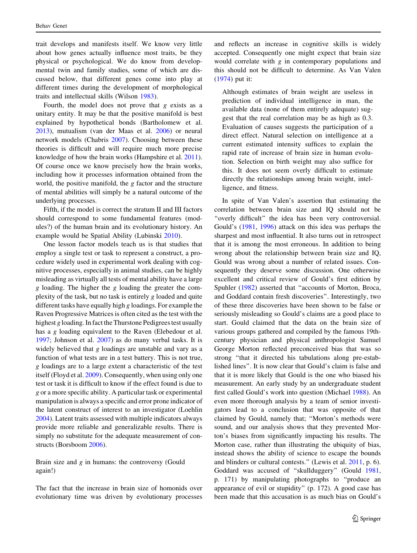trait develops and manifests itself. We know very little about how genes actually influence most traits, be they physical or psychological. We do know from developmental twin and family studies, some of which are discussed below, that different genes come into play at different times during the development of morphological traits and intellectual skills (Wilson [1983](#page-28-0)).

Fourth, the model does not prove that g exists as a unitary entity. It may be that the positive manifold is best explained by hypothetical bonds (Bartholomew et al. [2013\)](#page-21-0), mutualism (van der Maas et al. [2006\)](#page-27-0) or neural network models (Chabris [2007](#page-22-0)). Choosing between these theories is difficult and will require much more precise knowledge of how the brain works (Hampshire et al. [2011](#page-23-0)). Of course once we know precisely how the brain works, including how it processes information obtained from the world, the positive manifold, the g factor and the structure of mental abilities will simply be a natural outcome of the underlying processes.

Fifth, if the model is correct the stratum II and III factors should correspond to some fundamental features (modules?) of the human brain and its evolutionary history. An example would be Spatial Ability (Lubinski [2010](#page-25-0)).

One lesson factor models teach us is that studies that employ a single test or task to represent a construct, a procedure widely used in experimental work dealing with cognitive processes, especially in animal studies, can be highly misleading as virtually all tests of mental ability have a large g loading. The higher the g loading the greater the complexity of the task, but no task is entirely g loaded and quite different tasks have equally high g loadings. For example the Raven Progressive Matrices is often cited as the test with the highest g loading. In fact the Thurstone Pedigrees test usually has a g loading equivalent to the Raven (Elebedour et al. [1997;](#page-23-0) Johnson et al. [2007\)](#page-24-0) as do many verbal tasks. It is widely believed that g loadings are unstable and vary as a function of what tests are in a test battery. This is not true, g loadings are to a large extent a characteristic of the test itself (Floyd et al. [2009\)](#page-23-0). Consequently, when using only one test or task it is difficult to know if the effect found is due to g or a more specific ability. A particular task or experimental manipulation is always a specific and error prone indicator of the latent construct of interest to an investigator (Loehlin [2004\)](#page-25-0). Latent traits assessed with multiple indicators always provide more reliable and generalizable results. There is simply no substitute for the adequate measurement of constructs (Borsboom [2006](#page-21-0)).

# Brain size and  $g$  in humans: the controversy (Gould again!)

The fact that the increase in brain size of homonids over evolutionary time was driven by evolutionary processes

and reflects an increase in cognitive skills is widely accepted. Consequently one might expect that brain size would correlate with  $g$  in contemporary populations and this should not be difficult to determine. As Van Valen [\(1974](#page-28-0)) put it:

Although estimates of brain weight are useless in prediction of individual intelligence in man, the available data (none of them entirely adequate) suggest that the real correlation may be as high as 0.3. Evaluation of causes suggests the participation of a direct effect. Natural selection on intelligence at a current estimated intensity suffices to explain the rapid rate of increase of brain size in human evolution. Selection on birth weight may also suffice for this. It does not seem overly difficult to estimate directly the relationships among brain weight, intelligence, and fitness.

In spite of Van Valen's assertion that estimating the correlation between brain size and IQ should not be "overly difficult" the idea has been very controversial. Gould's [\(1981](#page-23-0), [1996](#page-23-0)) attack on this idea was perhaps the sharpest and most influential. It also turns out in retrospect that it is among the most erroneous. In addition to being wrong about the relationship between brain size and IQ, Gould was wrong about a number of related issues. Consequently they deserve some discussion. One otherwise excellent and critical review of Gould's first edition by Spuhler [\(1982](#page-27-0)) asserted that ''accounts of Morton, Broca, and Goddard contain fresh discoveries''. Interestingly, two of these three discoveries have been shown to be false or seriously misleading so Gould's claims are a good place to start. Gould claimed that the data on the brain size of various groups gathered and compiled by the famous 19thcentury physician and physical anthropologist Samuel George Morton reflected preconceived bias that was so strong ''that it directed his tabulations along pre-established lines''. It is now clear that Gould's claim is false and that it is more likely that Gould is the one who biased his measurement. An early study by an undergraduate student first called Gould's work into question (Michael [1988](#page-26-0)). An even more thorough analysis by a team of senior investigators lead to a conclusion that was opposite of that claimed by Gould, namely that; ''Morton's methods were sound, and our analysis shows that they prevented Morton's biases from significantly impacting his results. The Morton case, rather than illustrating the ubiquity of bias, instead shows the ability of science to escape the bounds and blinders or cultural contests.'' (Lewis et al. [2011](#page-25-0), p. 6). Goddard was accused of ''skullduggery'' (Gould [1981,](#page-23-0) p. 171) by manipulating photographs to ''produce an appearance of evil or stupidity'' (p. 172). A good case has been made that this accusation is as much bias on Gould's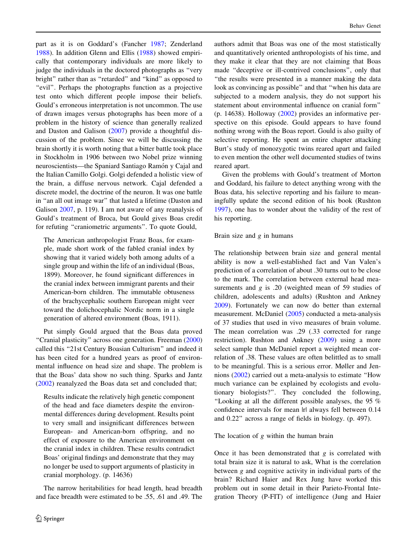part as it is on Goddard's (Fancher [1987;](#page-23-0) Zenderland [1988\)](#page-28-0). In addition Glenn and Ellis [\(1988](#page-23-0)) showed empirically that contemporary individuals are more likely to judge the individuals in the doctored photographs as "very bright'' rather than as ''retarded'' and ''kind'' as opposed to "evil". Perhaps the photographs function as a projective test onto which different people impose their beliefs. Gould's erroneous interpretation is not uncommon. The use of drawn images versus photographs has been more of a problem in the history of science than generally realized and Daston and Galison [\(2007](#page-22-0)) provide a thoughtful discussion of the problem. Since we will be discussing the brain shortly it is worth noting that a bitter battle took place in Stockholm in 1906 between two Nobel prize winning neuroscientists—the Spaniard Santiago Ramón y Cajal and the Italian Camillo Golgi. Golgi defended a holistic view of the brain, a diffuse nervous network. Cajal defended a discrete model, the doctrine of the neuron. It was one battle in ''an all out image war'' that lasted a lifetime (Daston and Galison [2007](#page-22-0), p. 119). I am not aware of any reanalysis of Gould's treatment of Broca, but Gould gives Boas credit for refuting ''craniometric arguments''. To quote Gould,

The American anthropologist Franz Boas, for example, made short work of the fabled cranial index by showing that it varied widely both among adults of a single group and within the life of an individual (Boas, 1899). Moreover, he found significant differences in the cranial index between immigrant parents and their American-born children. The immutable obtuseness of the brachycephalic southern European might veer toward the dolichocephalic Nordic norm in a single generation of altered environment (Boas, 1911).

Put simply Gould argued that the Boas data proved "Cranial plasticity" across one generation. Freeman ([2000\)](#page-23-0) called this ''21st Century Boasian Culturism'' and indeed it has been cited for a hundred years as proof of environmental influence on head size and shape. The problem is that the Boas' data show no such thing. Sparks and Jantz [\(2002](#page-27-0)) reanalyzed the Boas data set and concluded that;

Results indicate the relatively high genetic component of the head and face diameters despite the environmental differences during development. Results point to very small and insignificant differences between European- and American-born offspring, and no effect of exposure to the American environment on the cranial index in children. These results contradict Boas' original findings and demonstrate that they may no longer be used to support arguments of plasticity in cranial morphology. (p. 14636)

The narrow heritabilities for head length, head breadth and face breadth were estimated to be .55, .61 and .49. The

authors admit that Boas was one of the most statistically and quantitatively oriented anthropologists of his time, and they make it clear that they are not claiming that Boas made ''deceptive or ill-contrived conclusions'', only that ''the results were presented in a manner making the data look as convincing as possible'' and that ''when his data are subjected to a modern analysis, they do not support his statement about environmental influence on cranial form'' (p. 14638). Holloway ([2002\)](#page-24-0) provides an informative perspective on this episode. Gould appears to have found nothing wrong with the Boas report. Gould is also guilty of selective reporting. He spent an entire chapter attacking Burt's study of monozygotic twins reared apart and failed to even mention the other well documented studies of twins reared apart.

Given the problems with Gould's treatment of Morton and Goddard, his failure to detect anything wrong with the Boas data, his selective reporting and his failure to meaningfully update the second edition of his book (Rushton [1997](#page-27-0)), one has to wonder about the validity of the rest of his reporting.

## Brain size and  $g$  in humans

The relationship between brain size and general mental ability is now a well-established fact and Van Valen's prediction of a correlation of about .30 turns out to be close to the mark. The correlation between external head measurements and *g* is .20 (weighted mean of 59 studies of children, adolescents and adults) (Rushton and Ankney [2009](#page-27-0)). Fortunately we can now do better than external measurement. McDaniel [\(2005](#page-25-0)) conducted a meta-analysis of 37 studies that used in vivo measures of brain volume. The mean correlation was .29 (.33 corrected for range restriction). Rushton and Ankney ([2009\)](#page-27-0) using a more select sample than McDaniel report a weighted mean correlation of .38. These values are often belittled as to small to be meaningful. This is a serious error. Møller and Jennions [\(2002\)](#page-26-0) carried out a meta-analysis to estimate ''How much variance can be explained by ecologists and evolutionary biologists?''. They concluded the following, ''Looking at all the different possible analyses, the 95 % confidence intervals for mean  $|r|$  always fell between 0.14 and 0.22'' across a range of fields in biology. (p. 497).

The location of g within the human brain

Once it has been demonstrated that  $g$  is correlated with total brain size it is natural to ask, What is the correlation between g and cognitive activity in individual parts of the brain? Richard Haier and Rex Jung have worked this problem out in some detail in their Parieto-Frontal Integration Theory (P-FIT) of intelligence (Jung and Haier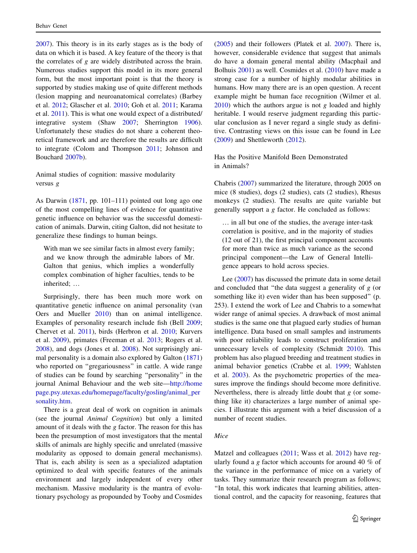[2007\)](#page-24-0). This theory is in its early stages as is the body of data on which it is based. A key feature of the theory is that the correlates of  $g$  are widely distributed across the brain. Numerous studies support this model in its more general form, but the most important point is that the theory is supported by studies making use of quite different methods (lesion mapping and neuroanatomical correlates) (Barbey et al. [2012](#page-21-0); Glascher et al. [2010](#page-23-0); Goh et al. [2011](#page-23-0); Karama et al. [2011](#page-24-0)). This is what one would expect of a distributed/ integrative system (Shaw [2007;](#page-27-0) Sherrington [1906](#page-27-0)). Unfortunately these studies do not share a coherent theoretical framework and are therefore the results are difficult to integrate (Colom and Thompson [2011](#page-22-0); Johnson and Bouchard [2007b](#page-24-0)).

Animal studies of cognition: massive modularity versus g

As Darwin [\(1871](#page-22-0), pp. 101–111) pointed out long ago one of the most compelling lines of evidence for quantitative genetic influence on behavior was the successful domestication of animals. Darwin, citing Galton, did not hesitate to generalize these findings to human beings.

With man we see similar facts in almost every family; and we know through the admirable labors of Mr. Galton that genius, which implies a wonderfully complex combination of higher faculties, tends to be inherited; …

Surprisingly, there has been much more work on quantitative genetic influence on animal personality (van Oers and Mueller [2010\)](#page-28-0) than on animal intelligence. Examples of personality research include fish (Bell [2009](#page-21-0); Chervet et al. [2011](#page-22-0)), birds (Herbron et al. [2010](#page-24-0); Kurvers et al. [2009](#page-25-0)), primates (Freeman et al. [2013;](#page-23-0) Rogers et al. [2008\)](#page-26-0), and dogs (Jones et al. [2008](#page-24-0)). Not surprisingly animal personality is a domain also explored by Galton ([1871\)](#page-23-0) who reported on ''gregariousness'' in cattle. A wide range of studies can be found by searching ''personality'' in the journal Animal Behaviour and the web site—[http://home](http://homepage.psy.utexas.edu/homepage/faculty/gosling/animal_personality.htm) [page.psy.utexas.edu/homepage/faculty/gosling/animal\\_per](http://homepage.psy.utexas.edu/homepage/faculty/gosling/animal_personality.htm) [sonality.htm.](http://homepage.psy.utexas.edu/homepage/faculty/gosling/animal_personality.htm)

There is a great deal of work on cognition in animals (see the journal Animal Cognition) but only a limited amount of it deals with the g factor. The reason for this has been the presumption of most investigators that the mental skills of animals are highly specific and unrelated (massive modularity as opposed to domain general mechanisms). That is, each ability is seen as a specialized adaptation optimized to deal with specific features of the animals environment and largely independent of every other mechanism. Massive modularity is the mantra of evolutionary psychology as propounded by Tooby and Cosmides [\(2005](#page-27-0)) and their followers (Platek et al. [2007\)](#page-26-0). There is, however, considerable evidence that suggest that animals do have a domain general mental ability (Macphail and Bolhuis [2001\)](#page-25-0) as well. Cosmides et al. ([2010\)](#page-22-0) have made a strong case for a number of highly modular abilities in humans. How many there are is an open question. A recent example might be human face recognition (Wilmer et al.  $2010$ ) which the authors argue is not g loaded and highly heritable. I would reserve judgment regarding this particular conclusion as I never regard a single study as definitive. Contrasting views on this issue can be found in Lee [\(2009](#page-25-0)) and Shettleworth ([2012\)](#page-27-0).

Has the Positive Manifold Been Demonstrated in Animals?

Chabris [\(2007](#page-22-0)) summarized the literature, through 2005 on mice (8 studies), dogs (2 studies), cats (2 studies), Rhesus monkeys (2 studies). The results are quite variable but generally support a g factor. He concluded as follows:

… in all but one of the studies, the average inter-task correlation is positive, and in the majority of studies (12 out of 21), the first principal component accounts for more than twice as much variance as the second principal component—the Law of General Intelligence appears to hold across species.

Lee [\(2007](#page-25-0)) has discussed the primate data in some detail and concluded that ''the data suggest a generality of g (or something like it) even wider than has been supposed'' (p. 253). I extend the work of Lee and Chabris to a somewhat wider range of animal species. A drawback of most animal studies is the same one that plagued early studies of human intelligence. Data based on small samples and instruments with poor reliability leads to construct proliferation and unnecessary levels of complexity (Schmidt [2010](#page-27-0)). This problem has also plagued breeding and treatment studies in animal behavior genetics (Crabbe et al. [1999;](#page-22-0) Wahlsten et al. [2003](#page-28-0)). As the psychometric properties of the measures improve the findings should become more definitive. Nevertheless, there is already little doubt that  $g$  (or something like it) characterizes a large number of animal species. I illustrate this argument with a brief discussion of a number of recent studies.

# Mice

Matzel and colleagues [\(2011](#page-25-0); Wass et al. [2012](#page-28-0)) have regularly found a g factor which accounts for around 40 % of the variance in the performance of mice on a variety of tasks. They summarize their research program as follows; ''In total, this work indicates that learning abilities, attentional control, and the capacity for reasoning, features that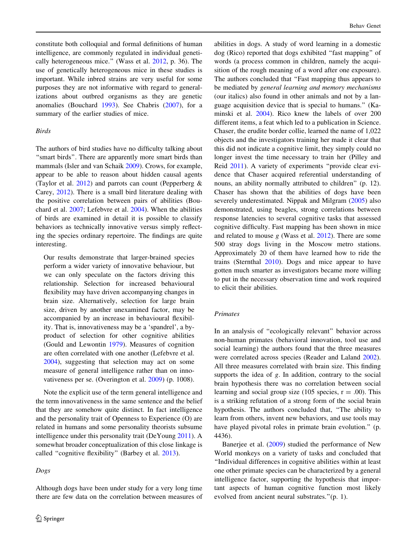constitute both colloquial and formal definitions of human intelligence, are commonly regulated in individual genetically heterogeneous mice.'' (Wass et al. [2012,](#page-28-0) p. 36). The use of genetically heterogeneous mice in these studies is important. While inbred strains are very useful for some purposes they are not informative with regard to generalizations about outbred organisms as they are genetic anomalies (Bouchard [1993\)](#page-21-0). See Chabris [\(2007](#page-22-0)), for a summary of the earlier studies of mice.

## Birds

The authors of bird studies have no difficulty talking about "smart birds". There are apparently more smart birds than mammals (Isler and van Schaik [2009](#page-24-0)). Crows, for example, appear to be able to reason about hidden causal agents (Taylor et al.  $2012$ ) and parrots can count (Pepperberg & Carey, [2012\)](#page-26-0). There is a small bird literature dealing with the positive correlation between pairs of abilities (Bouchard et al. [2007;](#page-21-0) Lefebvre et al. [2004\)](#page-25-0). When the abilities of birds are examined in detail it is possible to classify behaviors as technically innovative versus simply reflecting the species ordinary repertoire. The findings are quite interesting.

Our results demonstrate that larger-brained species perform a wider variety of innovative behaviour, but we can only speculate on the factors driving this relationship. Selection for increased behavioural flexibility may have driven accompanying changes in brain size. Alternatively, selection for large brain size, driven by another unexamined factor, may be accompanied by an increase in behavioural flexibility. That is, innovativeness may be a 'spandrel', a byproduct of selection for other cognitive abilities (Gould and Lewontin [1979](#page-23-0)). Measures of cognition are often correlated with one another (Lefebvre et al. [2004](#page-25-0)), suggesting that selection may act on some measure of general intelligence rather than on innovativeness per se. (Overington et al. [2009\)](#page-26-0) (p. 1008).

Note the explicit use of the term general intelligence and the term innovativeness in the same sentence and the belief that they are somehow quite distinct. In fact intelligence and the personality trait of Openness to Experience (O) are related in humans and some personality theorists subsume intelligence under this personality trait (DeYoung [2011\)](#page-22-0). A somewhat broader conceptualization of this close linkage is called ''cognitive flexibility'' (Barbey et al. [2013\)](#page-21-0).

## Dogs

Although dogs have been under study for a very long time there are few data on the correlation between measures of

abilities in dogs. A study of word learning in a domestic dog (Rico) reported that dogs exhibited ''fast mapping'' of words (a process common in children, namely the acquisition of the rough meaning of a word after one exposure). The authors concluded that ''Fast mapping thus appears to be mediated by general learning and memory mechanisms (our italics) also found in other animals and not by a language acquisition device that is special to humans.'' (Kaminski et al. [2004\)](#page-24-0). Rico knew the labels of over 200 different items, a feat which led to a publication in Science. Chaser, the erudite border collie, learned the name of 1,022 objects and the investigators training her made it clear that this did not indicate a cognitive limit, they simply could no longer invest the time necessary to train her (Pilley and Reid [2011\)](#page-26-0). A variety of experiments ''provide clear evidence that Chaser acquired referential understanding of nouns, an ability normally attributed to children'' (p. 12). Chaser has shown that the abilities of dogs have been severely underestimated. Nippak and Milgram ([2005\)](#page-26-0) also demonstrated, using beagles, strong correlations between response latencies to several cognitive tasks that assessed cognitive difficulty. Fast mapping has been shown in mice and related to mouse  $g$  (Wass et al. [2012\)](#page-28-0). There are some 500 stray dogs living in the Moscow metro stations. Approximately 20 of them have learned how to ride the trains (Sternthal [2010](#page-27-0)). Dogs and mice appear to have gotten much smarter as investigators became more willing to put in the necessary observation time and work required to elicit their abilities.

# Primates

In an analysis of ''ecologically relevant'' behavior across non-human primates (behavioral innovation, tool use and social learning) the authors found that the three measures were correlated across species (Reader and Laland [2002](#page-26-0)). All three measures correlated with brain size. This finding supports the idea of g. In addition, contrary to the social brain hypothesis there was no correlation between social learning and social group size (105 species,  $r = .00$ ). This is a striking refutation of a strong form of the social brain hypothesis. The authors concluded that, ''The ability to learn from others, invent new behaviors, and use tools may have played pivotal roles in primate brain evolution.'' (p. 4436).

Banerjee et al. [\(2009](#page-21-0)) studied the performance of New World monkeys on a variety of tasks and concluded that ''Individual differences in cognitive abilities within at least one other primate species can be characterized by a general intelligence factor, supporting the hypothesis that important aspects of human cognitive function most likely evolved from ancient neural substrates.''(p. 1).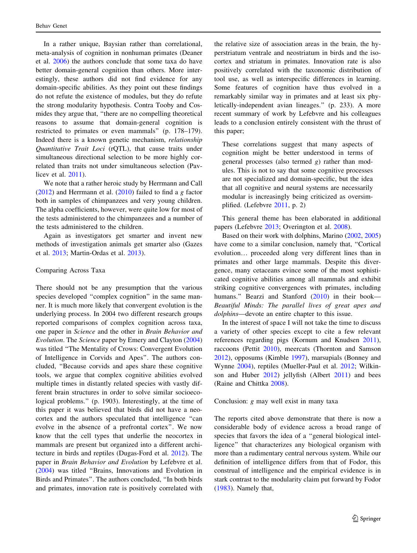In a rather unique, Baysian rather than correlational, meta-analysis of cognition in nonhuman primates (Deaner et al. [2006\)](#page-22-0) the authors conclude that some taxa do have better domain-general cognition than others. More interestingly, these authors did not find evidence for any domain-specific abilities. As they point out these findings do not refute the existence of modules, but they do refute the strong modularity hypothesis. Contra Tooby and Cosmides they argue that, ''there are no compelling theoretical reasons to assume that domain-general cognition is restricted to primates or even mammals'' (p. 178–179). Indeed there is a known genetic mechanism, relationship Quantitative Trait Loci (rQTL), that cause traits under simultaneous directional selection to be more highly correlated than traits not under simultaneous selection (Pavlicev et al. [2011\)](#page-26-0).

We note that a rather heroic study by Herrmann and Call  $(2012)$  $(2012)$  and Herrmann et al.  $(2010)$  $(2010)$  failed to find a g factor both in samples of chimpanzees and very young children. The alpha coefficients, however, were quite low for most of the tests administered to the chimpanzees and a number of the tests administered to the children.

Again as investigators get smarter and invent new methods of investigation animals get smarter also (Gazes et al. [2013;](#page-23-0) Martin-Ordas et al. [2013](#page-25-0)).

#### Comparing Across Taxa

There should not be any presumption that the various species developed ''complex cognition'' in the same manner. It is much more likely that convergent evolution is the underlying process. In 2004 two different research groups reported comparisons of complex cognition across taxa, one paper in Science and the other in Brain Behavior and Evolution. The Science paper by Emery and Clayton ([2004\)](#page-23-0) was titled ''The Mentality of Crows: Convergent Evolution of Intelligence in Corvids and Apes''. The authors concluded, ''Because corvids and apes share these cognitive tools, we argue that complex cognitive abilities evolved multiple times in distantly related species with vastly different brain structures in order to solve similar socioecological problems.'' (p. 1903). Interestingly, at the time of this paper it was believed that birds did not have a neocortex and the authors speculated that intelligence "can evolve in the absence of a prefrontal cortex''. We now know that the cell types that underlie the neocortex in mammals are present but organized into a different architecture in birds and reptiles (Dugas-Ford et al. [2012](#page-23-0)). The paper in Brain Behavior and Evolution by Lefebvre et al. [\(2004](#page-25-0)) was titled ''Brains, Innovations and Evolution in Birds and Primates''. The authors concluded, ''In both birds and primates, innovation rate is positively correlated with

the relative size of association areas in the brain, the hyperstriatum ventrale and neostriatum in birds and the isocortex and striatum in primates. Innovation rate is also positively correlated with the taxonomic distribution of tool use, as well as interspecific differences in learning. Some features of cognition have thus evolved in a remarkably similar way in primates and at least six phyletically-independent avian lineages.'' (p. 233). A more recent summary of work by Lefebvre and his colleagues leads to a conclusion entirely consistent with the thrust of this paper;

These correlations suggest that many aspects of cognition might be better understood in terms of general processes (also termed  $g$ ) rather than modules. This is not to say that some cognitive processes are not specialized and domain-specific, but the idea that all cognitive and neural systems are necessarily modular is increasingly being criticized as oversimplified. (Lefebvre [2011,](#page-25-0) p. 2)

This general theme has been elaborated in additional papers (Lefebvre [2013](#page-25-0); Overington et al. [2008](#page-26-0)).

Based on their work with dolphins, Marino ([2002,](#page-25-0) [2005\)](#page-25-0) have come to a similar conclusion, namely that, ''Cortical evolution… proceeded along very different lines than in primates and other large mammals. Despite this divergence, many cetaceans evince some of the most sophisticated cognitive abilities among all mammals and exhibit striking cognitive convergences with primates, including humans." Bearzi and Stanford [\(2010](#page-21-0)) in their book— Beautiful Minds: The parallel lives of great apes and dolphins—devote an entire chapter to this issue.

In the interest of space I will not take the time to discuss a variety of other species except to cite a few relevant references regarding pigs (Kornum and Knudsen [2011](#page-25-0)), raccoons (Pettit [2010](#page-26-0)), meercats (Thornton and Samson [2012](#page-27-0)), opposums (Kimble [1997\)](#page-24-0), marsupials (Bonney and Wynne [2004\)](#page-21-0), reptiles (Mueller-Paul et al. [2012](#page-26-0); Wilkinson and Huber [2012](#page-28-0)) jellyfish (Albert [2011](#page-21-0)) and bees (Raine and Chittka [2008\)](#page-26-0).

Conclusion: g may well exist in many taxa

The reports cited above demonstrate that there is now a considerable body of evidence across a broad range of species that favors the idea of a ''general biological intelligence'' that characterizes any biological organism with more than a rudimentary central nervous system. While our definition of intelligence differs from that of Fodor, this construal of intelligence and the empirical evidence is in stark contrast to the modularity claim put forward by Fodor [\(1983](#page-23-0)). Namely that,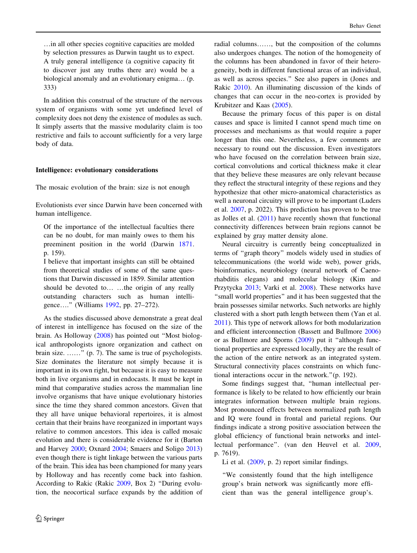…in all other species cognitive capacities are molded by selection pressures as Darwin taught us to expect. A truly general intelligence (a cognitive capacity fit to discover just any truths there are) would be a biological anomaly and an evolutionary enigma… (p. 333)

In addition this construal of the structure of the nervous system of organisms with some yet undefined level of complexity does not deny the existence of modules as such. It simply asserts that the massive modularity claim is too restrictive and fails to account sufficiently for a very large body of data.

#### Intelligence: evolutionary considerations

The mosaic evolution of the brain: size is not enough

Evolutionists ever since Darwin have been concerned with human intelligence.

Of the importance of the intellectual faculties there can be no doubt, for man mainly owes to them his preeminent position in the world (Darwin [1871](#page-22-0). p. 159).

I believe that important insights can still be obtained from theoretical studies of some of the same questions that Darwin discussed in 1859. Similar attention should be devoted to… …the origin of any really outstanding characters such as human intelligence….'' (Williams [1992](#page-28-0), pp. 27–272).

As the studies discussed above demonstrate a great deal of interest in intelligence has focused on the size of the brain. As Holloway ([2008\)](#page-24-0) has pointed out ''Most biological anthropologists ignore organization and cathect on brain size. ……'' (p. 7). The same is true of psychologists. Size dominates the literature not simply because it is important in its own right, but because it is easy to measure both in live organisms and in endocasts. It must be kept in mind that comparative studies across the mammalian line involve organisms that have unique evolutionary histories since the time they shared common ancestors. Given that they all have unique behavioral repertoires, it is almost certain that their brains have reorganized in important ways relative to common ancestors. This idea is called mosaic evolution and there is considerable evidence for it (Barton and Harvey [2000](#page-21-0); Oxnard [2004](#page-26-0); Smaers and Soligo [2013\)](#page-27-0) even though there is tight linkage between the various parts of the brain. This idea has been championed for many years by Holloway and has recently come back into fashion. According to Rakic (Rakic [2009,](#page-26-0) Box 2) ''During evolution, the neocortical surface expands by the addition of radial columns……, but the composition of the columns also undergoes changes. The notion of the homogeneity of the columns has been abandoned in favor of their heterogeneity, both in different functional areas of an individual, as well as across species.'' See also papers in (Jones and Rakic [2010\)](#page-24-0). An illuminating discussion of the kinds of changes that can occur in the neo-cortex is provided by Krubitzer and Kaas [\(2005](#page-25-0)).

Because the primary focus of this paper is on distal causes and space is limited I cannot spend much time on processes and mechanisms as that would require a paper longer than this one. Nevertheless, a few comments are necessary to round out the discussion. Even investigators who have focused on the correlation between brain size, cortical convolutions and cortical thickness make it clear that they believe these measures are only relevant because they reflect the structural integrity of these regions and they hypothesize that other micro-anatomical characteristics as well a neuronal circuitry will prove to be important (Luders et al. [2007](#page-25-0), p. 2022). This prediction has proven to be true as Jolles et al. [\(2011](#page-24-0)) have recently shown that functional connectivity differences between brain regions cannot be explained by gray matter density alone.

Neural circuitry is currently being conceptualized in terms of ''graph theory'' models widely used in studies of telecommunications (the world wide web), power grids, bioinformatics, neurobiology (neural network of Caenorhabditis elegans) and molecular biology (Kim and Przytycka [2013;](#page-24-0) Varki et al. [2008\)](#page-28-0). These networks have ''small world properties'' and it has been suggested that the brain possesses similar networks. Such networks are highly clustered with a short path length between them (Yan et al. [2011](#page-28-0)). This type of network allows for both modularization and efficient interconnection (Bassett and Bullmore [2006\)](#page-21-0) or as Bullmore and Sporns [\(2009](#page-22-0)) put it ''although functional properties are expressed locally, they are the result of the action of the entire network as an integrated system. Structural connectivity places constraints on which functional interactions occur in the network.''(p. 192).

Some findings suggest that, ''human intellectual performance is likely to be related to how efficiently our brain integrates information between multiple brain regions. Most pronounced effects between normalized path length and IQ were found in frontal and parietal regions. Our findings indicate a strong positive association between the global efficiency of functional brain networks and intellectual performance''. (van den Heuvel et al. [2009,](#page-27-0) p. 7619).

Li et al.  $(2009, p. 2)$  $(2009, p. 2)$  $(2009, p. 2)$  report similar findings.

''We consistently found that the high intelligence group's brain network was significantly more efficient than was the general intelligence group's.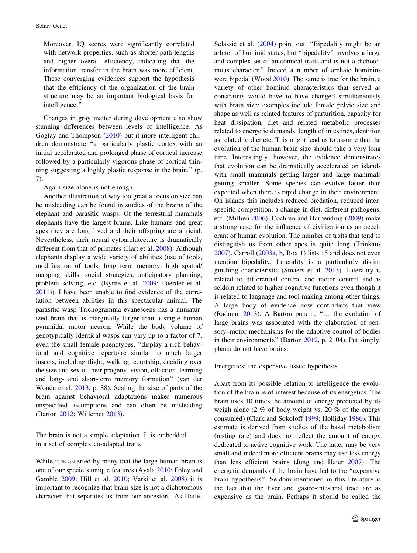Moreover, IQ scores were significantly correlated with network properties, such as shorter path lengths and higher overall efficiency, indicating that the information transfer in the brain was more efficient. These converging evidences support the hypothesis that the efficiency of the organization of the brain structure may be an important biological basis for intelligence.''

Changes in gray matter during development also show stunning differences between levels of intelligence. As Gogtay and Thompson [\(2010\)](#page-23-0) put it more intelligent children demonstrate ''a particularly plastic cortex with an initial accelerated and prolonged phase of cortical increase followed by a particularly vigorous phase of cortical thinning suggesting a highly plastic response in the brain.'' (p. 7).

Again size alone is not enough.

Another illustration of why too great a focus on size can be misleading can be found in studies of the brains of the elephant and parasitic wasps. Of the terrestrial mammals elephants have the largest brains. Like humans and great apes they are long lived and their offspring are altricial. Nevertheless, their neural cytoarchitecture is dramatically different from that of primates (Hart et al. [2008\)](#page-24-0). Although elephants display a wide variety of abilities (use of tools, modification of tools, long term memory, high spatial/ mapping skills, social strategies, anticipatory planning, problem solving, etc. (Byrne et al. [2009;](#page-22-0) Foerder et al. [2011\)](#page-23-0)). I have been unable to find evidence of the correlation between abilities in this spectacular animal. The parasitic wasp Trichogramma evanescens has a miniaturized brain that is marginally larger than a single human pyramidal motor neuron. While the body volume of genotypically identical wasps can vary up to a factor of 7, even the small female phenotypes, ''display a rich behavioral and cognitive repertoire similar to much larger insects, including flight, walking, courtship, deciding over the size and sex of their progeny, vision, olfaction, learning and long- and short-term memory formation'' (van der Woude et al. [2013,](#page-28-0) p. 88). Scaling the size of parts of the brain against behavioral adaptations makes numerous unspecified assumptions and can often be misleading (Barton [2012;](#page-21-0) Willemet [2013\)](#page-28-0).

The brain is not a simple adaptation. It is embedded in a set of complex co-adapted traits

While it is asserted by many that the large human brain is one of our specie's unique features (Ayala [2010;](#page-21-0) Foley and Gamble [2009](#page-23-0); Hill et al. [2010](#page-24-0); Varki et al. [2008\)](#page-28-0) it is important to recognize that brain size is not a dichotomous character that separates us from our ancestors. As HaileSelassie et al. ([2004\)](#page-23-0) point out, ''Bipedality might be an arbiter of hominid status, but ''bipedality'' involves a large and complex set of anatomical traits and is not a dichotomous character.'' Indeed a number of archaic hominins were bipedal (Wood [2010\)](#page-28-0). The same is true for the brain, a variety of other hominid characteristics that served as constraints would have to have changed simultaneously with brain size; examples include female pelvic size and shape as well as related features of parturition, capacity for heat dissipation, diet and related metabolic processes related to energetic demands, length of intestines, dentition as related to diet etc. This might lead us to assume that the evolution of the human brain size should take a very long time. Interestingly, however, the evidence demonstrates that evolution can be dramatically accelerated on islands with small mammals getting larger and large mammals getting smaller. Some species can evolve faster than expected when there is rapid change in their environment. On islands this includes reduced predation, reduced interspecific competition, a change in diet, different pathogens, etc. (Millien [2006](#page-26-0)). Cochran and Harpending [\(2009](#page-22-0)) make a strong case for the influence of civilization as an accelerant of human evolution. The number of traits that tend to distinguish us from other apes is quite long (Trinkaus [2007](#page-27-0)). Carroll [\(2003a,](#page-22-0) [b,](#page-22-0) Box 1) lists 15 and does not even mention bipedality. Laterality is a particularly distinguishing characteristic (Smaers et al. [2013](#page-27-0)). Laterality is related to differential control and motor control and is seldom related to higher cognitive functions even though it is related to language and tool making among other things. A large body of evidence now contradicts that view (Radman [2013\)](#page-26-0). A Barton puts it, ''… the evolution of large brains was associated with the elaboration of sensory–motor mechanisms for the adaptive control of bodies in their environments'' (Barton [2012](#page-21-0), p. 2104). Put simply, plants do not have brains.

Energetics: the expensive tissue hypothesis

Apart from its possible relation to intelligence the evolution of the brain is of interest because of its energetics. The brain uses 10 times the amount of energy predicted by its weigh alone (2 % of body weight vs. 20 % of the energy consumed) (Clark and Sokoloff [1999](#page-22-0); Holliday [1986](#page-24-0)). This estimate is derived from studies of the basal metabolism (resting rate) and does not reflect the amount of energy dedicated to active cognitive work. The latter may be very small and indeed more efficient brains may use less energy than less efficient brains (Jung and Haier [2007\)](#page-24-0). The energetic demands of the brain have led to the ''expensive brain hypothesis''. Seldom mentioned in this literature is the fact that the liver and gastro-intestinal tract are as expensive as the brain. Perhaps it should be called the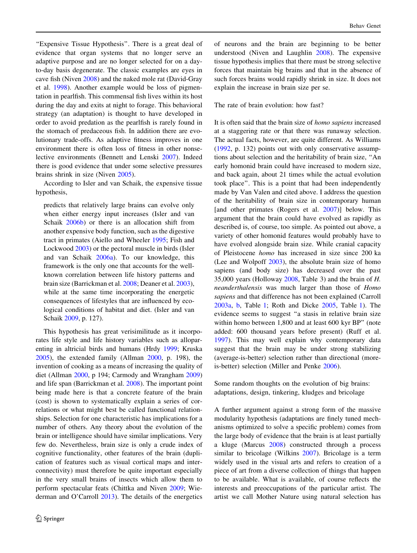"Expensive Tissue Hypothesis". There is a great deal of evidence that organ systems that no longer serve an adaptive purpose and are no longer selected for on a dayto-day basis degenerate. The classic examples are eyes in cave fish (Niven [2008\)](#page-26-0) and the naked mole rat (David-Gray et al. [1998](#page-22-0)). Another example would be loss of pigmentation in pearlfish. This commensal fish lives within its host during the day and exits at night to forage. This behavioral strategy (an adaptation) is thought to have developed in order to avoid predation as the pearlfish is rarely found in the stomach of predaceous fish. In addition there are evolutionary trade-offs. As adaptive fitness improves in one environment there is often loss of fitness in other nonselective environments (Bennett and Lenski [2007](#page-21-0)). Indeed there is good evidence that under some selective pressures brains shrink in size (Niven [2005](#page-26-0)).

According to Isler and van Schaik, the expensive tissue hypothesis,

predicts that relatively large brains can evolve only when either energy input increases (Isler and van Schaik [2006b](#page-24-0)) or there is an allocation shift from another expensive body function, such as the digestive tract in primates (Aiello and Wheeler [1995](#page-20-0); Fish and Lockwood [2003](#page-23-0)) or the pectoral muscle in birds (Isler and van Schaik [2006a\)](#page-24-0). To our knowledge, this framework is the only one that accounts for the wellknown correlation between life history patterns and brain size (Barrickman et al. [2008;](#page-21-0) Deaner et al. [2003\)](#page-22-0), while at the same time incorporating the energetic consequences of lifestyles that are influenced by ecological conditions of habitat and diet. (Isler and van Schaik [2009](#page-24-0), p. 127).

This hypothesis has great verisimilitude as it incorporates life style and life history variables such as alloparenting in altricial birds and humans (Hrdy [1999](#page-24-0); Kruska [2005\)](#page-25-0), the extended family (Allman [2000,](#page-21-0) p. 198), the invention of cooking as a means of increasing the quality of diet (Allman [2000,](#page-21-0) p 194; Carmody and Wrangham [2009\)](#page-22-0) and life span (Barrickman et al. [2008](#page-21-0)). The important point being made here is that a concrete feature of the brain (cost) is shown to systematically explain a series of correlations or what might best be called functional relationships. Selection for one characteristic has implications for a number of others. Any theory about the evolution of the brain or intelligence should have similar implications. Very few do. Nevertheless, brain size is only a crude index of cognitive functionality, other features of the brain (duplication of features such as visual cortical maps and interconnectivity) must therefore be quite important especially in the very small brains of insects which allow them to perform spectacular feats (Chittka and Niven [2009](#page-22-0); Wiederman and O'Carroll [2013](#page-28-0)). The details of the energetics of neurons and the brain are beginning to be better understood (Niven and Laughlin [2008\)](#page-26-0). The expensive tissue hypothesis implies that there must be strong selective forces that maintain big brains and that in the absence of such forces brains would rapidly shrink in size. It does not explain the increase in brain size per se.

The rate of brain evolution: how fast?

It is often said that the brain size of homo sapiens increased at a staggering rate or that there was runaway selection. The actual facts, however, are quite different. As Williams [\(1992](#page-28-0), p. 132) points out with only conservative assumptions about selection and the heritability of brain size, ''An early homonid brain could have increased to modern size, and back again, about 21 times while the actual evolution took place''. This is a point that had been independently made by Van Valen and cited above. I address the question of the heritability of brain size in contemporary human [and other primates (Rogers et al. [2007\)](#page-26-0)] below. This argument that the brain could have evolved as rapidly as described is, of course, too simple. As pointed out above, a variety of other homonid features would probably have to have evolved alongside brain size. While cranial capacity of Pleistocene homo has increased in size since 200 ka (Lee and Wolpoff [2003\)](#page-25-0), the absolute brain size of homo sapiens (and body size) has decreased over the past 35,000 years (Holloway [2008,](#page-24-0) Table 3) and the brain of H. neanderthalensis was much larger than those of Homo sapiens and that difference has not been explained (Carroll [2003a,](#page-22-0) [b,](#page-22-0) Table [1;](#page-16-0) Roth and Dicke [2005,](#page-27-0) Table [1](#page-16-0)). The evidence seems to suggest ''a stasis in relative brain size within homo between 1,800 and at least 600 kyr BP'' (note added: 600 thousand years before present) (Ruff et al. [1997](#page-27-0)). This may well explain why contemporary data suggest that the brain may be under strong stabilizing (average-is-better) selection rather than directional (moreis-better) selection (Miller and Penke [2006\)](#page-26-0).

Some random thoughts on the evolution of big brains: adaptations, design, tinkering, kludges and bricolage

A further argument against a strong form of the massive modularity hypothesis (adaptations are finely tuned mechanisms optimized to solve a specific problem) comes from the large body of evidence that the brain is at least partially a kluge (Marcus [2008\)](#page-25-0) constructed through a process similar to bricolage (Wilkins [2007](#page-28-0)). Bricolage is a term widely used in the visual arts and refers to creation of a piece of art from a diverse collection of things that happen to be available. What is available, of course reflects the interests and preoccupations of the particular artist. The artist we call Mother Nature using natural selection has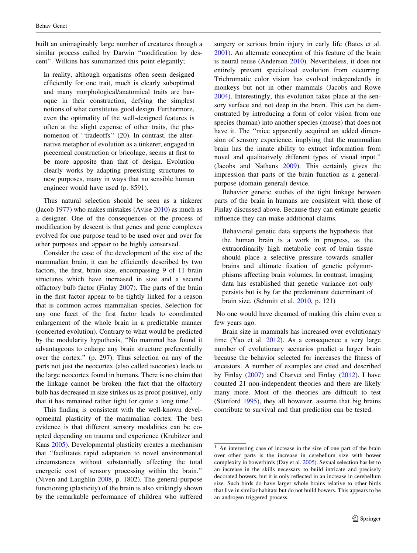built an unimaginably large number of creatures through a similar process called by Darwin ''modification by descent''. Wilkins has summarized this point elegantly;

In reality, although organisms often seem designed efficiently for one trait, much is clearly suboptimal and many morphological/anatomical traits are baroque in their construction, defying the simplest notions of what constitutes good design. Furthermore, even the optimality of the well-designed features is often at the slight expense of other traits, the phenomenon of ''tradeoffs'' (20). In contrast, the alternative metaphor of evolution as a tinkerer, engaged in piecemeal construction or bricolage, seems at first to be more apposite than that of design. Evolution clearly works by adapting preexisting structures to new purposes, many in ways that no sensible human engineer would have used (p. 8591).

Thus natural selection should be seen as a tinkerer (Jacob [1977\)](#page-24-0) who makes mistakes (Avise [2010\)](#page-21-0) as much as a designer. One of the consequences of the process of modification by descent is that genes and gene complexes evolved for one purpose tend to be used over and over for other purposes and appear to be highly conserved.

Consider the case of the development of the size of the mammalian brain, it can be efficiently described by two factors, the first, brain size, encompassing 9 of 11 brain structures which have increased in size and a second olfactory bulb factor (Finlay [2007](#page-23-0)). The parts of the brain in the first factor appear to be tightly linked for a reason that is common across mammalian species. Selection for any one facet of the first factor leads to coordinated enlargement of the whole brain in a predictable manner (concerted evolution). Contrary to what would be predicted by the modularity hypothesis, ''No mammal has found it advantageous to enlarge any brain structure preferentially over the cortex.'' (p. 297). Thus selection on any of the parts not just the neocortex (also called isocortex) leads to the large neocortex found in humans. There is no claim that the linkage cannot be broken (the fact that the olfactory bulb has decreased in size strikes us as proof positive), only that it has remained rather tight for quite a long time.<sup>1</sup>

This finding is consistent with the well-known developmental plasticity of the mammalian cortex. The best evidence is that different sensory modalities can be coopted depending on trauma and experience (Krubitzer and Kaas [2005\)](#page-25-0). Developmental plasticity creates a mechanism that ''facilitates rapid adaptation to novel environmental circumstances without substantially affecting the total energetic cost of sensory processing within the brain.'' (Niven and Laughlin [2008,](#page-26-0) p. 1802). The general-purpose functioning (plasticity) of the brain is also strikingly shown by the remarkable performance of children who suffered surgery or serious brain injury in early life (Bates et al. [2001](#page-21-0)). An alternate conception of this feature of the brain is neural reuse (Anderson [2010](#page-21-0)). Nevertheless, it does not entirely prevent specialized evolution from occurring. Trichromatic color vision has evolved independently in monkeys but not in other mammals (Jacobs and Rowe [2004](#page-24-0)). Interestingly, this evolution takes place at the sensory surface and not deep in the brain. This can be demonstrated by introducing a form of color vision from one species (human) into another species (mouse) that does not have it. The "mice apparently acquired an added dimension of sensory experience, implying that the mammalian brain has the innate ability to extract information from novel and qualitatively different types of visual input.'' (Jacobs and Nathans [2009](#page-24-0)). This certainly gives the impression that parts of the brain function as a generalpurpose (domain general) device.

Behavior genetic studies of the tight linkage between parts of the brain in humans are consistent with those of Finlay discussed above. Because they can estimate genetic influence they can make additional claims.

Behavioral genetic data supports the hypothesis that the human brain is a work in progress, as the extraordinarily high metabolic cost of brain tissue should place a selective pressure towards smaller brains and ultimate fixation of genetic polymorphisms affecting brain volumes. In contrast, imaging data has established that genetic variance not only persists but is by far the predominant determinant of brain size. (Schmitt et al. [2010](#page-27-0), p. 121)

No one would have dreamed of making this claim even a few years ago.

Brain size in mammals has increased over evolutionary time (Yao et al. [2012](#page-28-0)). As a consequence a very large number of evolutionary scenarios predict a larger brain because the behavior selected for increases the fitness of ancestors. A number of examples are cited and described by Finlay ([2007](#page-23-0)) and Charvet and Finlay ([2012\)](#page-22-0). I have counted 21 non-independent theories and there are likely many more. Most of the theories are difficult to test (Stanford [1995](#page-27-0)), they all however, assume that big brains contribute to survival and that prediction can be tested.

 $<sup>1</sup>$  An interesting case of increase in the size of one part of the brain</sup> over other parts is the increase in cerebellum size with bower complexity in bowerbirds (Day et al. [2005](#page-22-0)). Sexual selection has let to an increase in the skills necessary to build intricate and precisely decorated bowers, but it is only reflected in an increase in cerebellum size. Such birds do have larger whole brains relative to other birds that live in similar habitats but do not build bowers. This appears to be an androgen triggered process.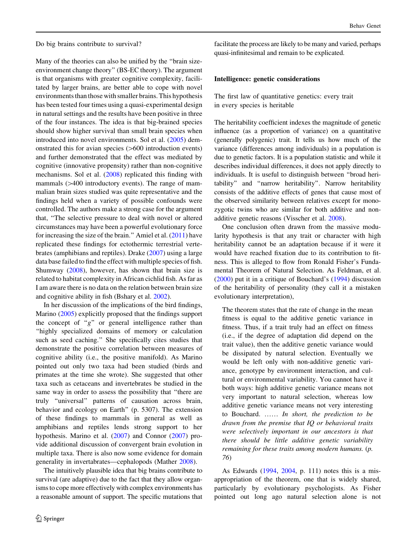Do big brains contribute to survival?

Many of the theories can also be unified by the ''brain sizeenvironment change theory'' (BS-EC theory). The argument is that organisms with greater cognitive complexity, facilitated by larger brains, are better able to cope with novel environments than those with smaller brains. This hypothesis has been tested four times using a quasi-experimental design in natural settings and the results have been positive in three of the four instances. The idea is that big-brained species should show higher survival than small brain species when introduced into novel environments. Sol et al. [\(2005](#page-27-0)) demonstrated this for avian species  $($ >600 introduction events) and further demonstrated that the effect was mediated by cognitive (innovative propensity) rather than non-cognitive mechanisms. Sol et al. [\(2008](#page-27-0)) replicated this finding with mammals  $($ >400 introductory events). The range of mammalian brain sizes studied was quite representative and the findings held when a variety of possible confounds were controlled. The authors make a strong case for the argument that, ''The selective pressure to deal with novel or altered circumstances may have been a powerful evolutionary force for increasing the size of the brain.'' Amiel et al. [\(2011](#page-21-0)) have replicated these findings for ectothermic terrestrial vertebrates (amphibians and reptiles). Drake [\(2007](#page-22-0)) using a large data base failed to find the effect with multiple species of fish. Shumway ([2008\)](#page-27-0), however, has shown that brain size is related to habitat complexity in African cichlid fish. As far as I am aware there is no data on the relation between brain size and cognitive ability in fish (Bshary et al. [2002](#page-22-0)).

In her discussion of the implications of the bird findings, Marino [\(2005](#page-25-0)) explicitly proposed that the findings support the concept of " $g$ " or general intelligence rather than "highly specialized domains of memory or calculation such as seed caching.'' She specifically cites studies that demonstrate the positive correlation between measures of cognitive ability (i.e., the positive manifold). As Marino pointed out only two taxa had been studied (birds and primates at the time she wrote). She suggested that other taxa such as cetaceans and invertebrates be studied in the same way in order to assess the possibility that ''there are truly ''universal'' patterns of causation across brain, behavior and ecology on Earth'' (p. 5307). The extension of these findings to mammals in general as well as amphibians and reptiles lends strong support to her hypothesis. Marino et al. [\(2007](#page-25-0)) and Connor [\(2007](#page-22-0)) provide additional discussion of convergent brain evolution in multiple taxa. There is also now some evidence for domain generality in invertabrates—cephalopods (Mather [2008](#page-25-0)).

The intuitively plausible idea that big brains contribute to survival (are adaptive) due to the fact that they allow organisms to cope more effectively with complex environments has a reasonable amount of support. The specific mutations that

facilitate the process are likely to be many and varied, perhaps quasi-infinitesimal and remain to be explicated.

## Intelligence: genetic considerations

The first law of quantitative genetics: every trait in every species is heritable

The heritability coefficient indexes the magnitude of genetic influence (as a proportion of variance) on a quantitative (generally polygenic) trait. It tells us how much of the variance (differences among individuals) in a population is due to genetic factors. It is a population statistic and while it describes individual differences, it does not apply directly to individuals. It is useful to distinguish between ''broad heritability'' and ''narrow heritability''. Narrow heritability consists of the additive effects of genes that cause most of the observed similarity between relatives except for monozygotic twins who are similar for both additive and nonadditive genetic reasons (Visscher et al. [2008\)](#page-28-0).

One conclusion often drawn from the massive modularity hypothesis is that any trait or character with high heritability cannot be an adaptation because if it were it would have reached fixation due to its contribution to fitness. This is alleged to flow from Ronald Fisher's Fundamental Theorem of Natural Selection. As Feldman, et al. [\(2000](#page-23-0)) put it in a critique of Bouchard's [\(1994](#page-21-0)) discussion of the heritability of personality (they call it a mistaken evolutionary interpretation),

The theorem states that the rate of change in the mean fitness is equal to the additive genetic variance in fitness. Thus, if a trait truly had an effect on fitness (i.e., if the degree of adaptation did depend on the trait value), then the additive genetic variance would be dissipated by natural selection. Eventually we would be left only with non-additive genetic variance, genotype by environment interaction, and cultural or environmental variability. You cannot have it both ways: high additive genetic variance means not very important to natural selection, whereas low additive genetic variance means not very interesting to Bouchard. …… In short, the prediction to be drawn from the premise that IQ or behavioral traits were selectively important in our ancestors is that there should be little additive genetic variability remaining for these traits among modern humans. (p. 76)

As Edwards [\(1994](#page-23-0), [2004,](#page-23-0) p. 111) notes this is a misappropriation of the theorem, one that is widely shared, particularly by evolutionary psychologists. As Fisher pointed out long ago natural selection alone is not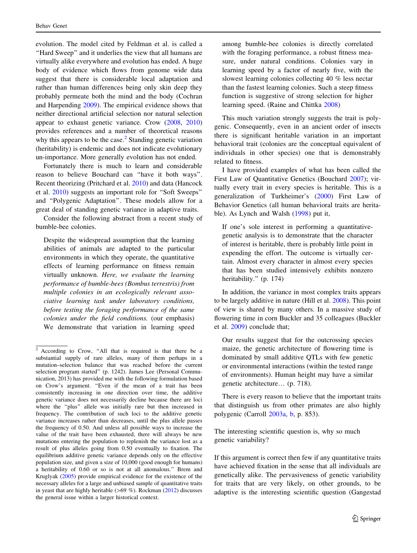evolution. The model cited by Feldman et al. is called a "Hard Sweep" and it underlies the view that all humans are virtually alike everywhere and evolution has ended. A huge body of evidence which flows from genome wide data suggest that there is considerable local adaptation and rather than human differences being only skin deep they probably permeate both the mind and the body (Cochran and Harpending [2009\)](#page-22-0). The empirical evidence shows that neither directional artificial selection nor natural selection appear to exhaust genetic variance. Crow [\(2008](#page-22-0), [2010\)](#page-22-0) provides references and a number of theoretical reasons why this appears to be the case.<sup>2</sup> Standing genetic variation (heritability) is endemic and does not indicate evolutionary un-importance. More generally evolution has not ended.

Fortunately there is much to learn and considerable reason to believe Bouchard can ''have it both ways''. Recent theorizing (Pritchard et al. [2010\)](#page-26-0) and data (Hancock et al. [2010\)](#page-24-0) suggests an important role for ''Soft Sweeps'' and ''Polygenic Adaptation''. These models allow for a great deal of standing genetic variance in adaptive traits.

Consider the following abstract from a recent study of bumble-bee colonies.

Despite the widespread assumption that the learning abilities of animals are adapted to the particular environments in which they operate, the quantitative effects of learning performance on fitness remain virtually unknown. Here, we evaluate the learning performance of bumble-bees (Bombus terrestris) from multiple colonies in an ecologically relevant associative learning task under laboratory conditions, before testing the foraging performance of the same colonies under the field conditions. (our emphasis) We demonstrate that variation in learning speed

among bumble-bee colonies is directly correlated with the foraging performance, a robust fitness measure, under natural conditions. Colonies vary in learning speed by a factor of nearly five, with the slowest learning colonies collecting 40 % less nectar than the fastest learning colonies. Such a steep fitness function is suggestive of strong selection for higher learning speed. (Raine and Chittka [2008\)](#page-26-0)

This much variation strongly suggests the trait is polygenic. Consequently, even in an ancient order of insects there is significant heritable variation in an important behavioral trait (colonies are the conceptual equivalent of individuals in other species) one that is demonstrably related to fitness.

I have provided examples of what has been called the First Law of Quantitative Genetics (Bouchard [2007\)](#page-21-0); virtually every trait in every species is heritable. This is a generalization of Turkheimer's ([2000\)](#page-27-0) First Law of Behavior Genetics (all human behavioral traits are heritable). As Lynch and Walsh ([1998\)](#page-25-0) put it,

If one's sole interest in performing a quantitativegenetic analysis is to demonstrate that the character of interest is heritable, there is probably little point in expending the effort. The outcome is virtually certain. Almost every character in almost every species that has been studied intensively exhibits nonzero heritability." (p. 174)

In addition, the variance in most complex traits appears to be largely additive in nature (Hill et al. [2008](#page-24-0)). This point of view is shared by many others. In a massive study of flowering time in corn Buckler and 35 colleagues (Buckler et al. [2009\)](#page-22-0) conclude that;

Our results suggest that for the outcrossing species maize, the genetic architecture of flowering time is dominated by small additive QTLs with few genetic or environmental interactions (within the tested range of environments). Human height may have a similar genetic architecture… (p. 718).

There is every reason to believe that the important traits that distinguish us from other primates are also highly polygenic (Carroll [2003a](#page-22-0), [b](#page-22-0), p. 853).

The interesting scientific question is, why so much genetic variability?

If this argument is correct then few if any quantitative traits have achieved fixation in the sense that all individuals are genetically alike. The pervasiveness of genetic variability for traits that are very likely, on other grounds, to be adaptive is the interesting scientific question (Gangestad

 $\sqrt{2}$  According to Crow, "All that is required is that there be a substantial supply of rare alleles, many of them perhaps in a mutation–selection balance that was reached before the current selection program started'' (p. 1242). James Lee (Personal Communication, 2013) has provided me with the following formulation based on Crow's argument. ''Even if the mean of a trait has been consistently increasing in one direction over time, the additive genetic variance does not necessarily decline because there are loci where the "plus" allele was initially rare but then increased in frequency. The contribution of such loci to the additive genetic variance increases rather than decreases, until the plus allele passes the frequency of 0.50. And unless all possible ways to increase the value of the trait have been exhausted, there will always be new mutations entering the population to replenish the variance lost as a result of plus alleles going from 0.50 eventually to fixation. The equilibrium additive genetic variance depends only on the effective population size, and given a size of 10,000 (good enough for humans) a heritability of 0.60 or so is not at all anomalous.'' Brem and Kruglyak ([2005\)](#page-22-0) provide empirical evidence for the existence of the necessary alleles for a large and unbiased sample of quantitative traits in yeast that are highly heritable  $(>69 \%$ ). Rockman  $(2012)$  $(2012)$  discusses the general issue within a larger historical context.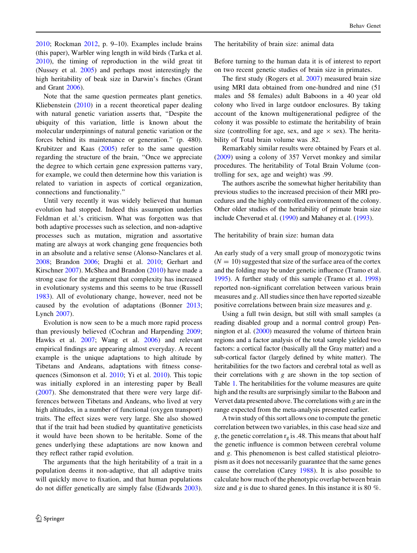[2010;](#page-23-0) Rockman [2012](#page-26-0), p. 9–10). Examples include brains (this paper), Warbler wing length in wild birds (Tarka et al. [2010\)](#page-27-0), the timing of reproduction in the wild great tit (Nussey et al. [2005\)](#page-26-0) and perhaps most interestingly the high heritability of beak size in Darwin's finches (Grant and Grant [2006\)](#page-23-0).

Note that the same question permeates plant genetics. Kliebenstein [\(2010](#page-24-0)) in a recent theoretical paper dealing with natural genetic variation asserts that, ''Despite the ubiquity of this variation, little is known about the molecular underpinnings of natural genetic variation or the forces behind its maintenance or generation.'' (p. 480). Krubitzer and Kaas [\(2005](#page-25-0)) refer to the same question regarding the structure of the brain, ''Once we appreciate the degree to which certain gene expression patterns vary, for example, we could then determine how this variation is related to variation in aspects of cortical organization, connections and functionality.''

Until very recently it was widely believed that human evolution had stopped. Indeed this assumption underlies Feldman et al.'s criticism. What was forgotten was that both adaptive processes such as selection, and non-adaptive processes such as mutation, migration and assortative mating are always at work changing gene frequencies both in an absolute and a relative sense (Alonso-Nanclares et al. [2008;](#page-21-0) Brandon [2006;](#page-21-0) Draghi et al. [2010;](#page-22-0) Gerhart and Kirschner [2007\)](#page-23-0). McShea and Brandon [\(2010](#page-26-0)) have made a strong case for the argument that complexity has increased in evolutionary systems and this seems to be true (Russell [1983\)](#page-27-0). All of evolutionary change, however, need not be caused by the evolution of adaptations (Bonner [2013](#page-21-0); Lynch [2007\)](#page-25-0).

Evolution is now seen to be a much more rapid process than previously believed (Cochran and Harpending [2009](#page-22-0); Hawks et al. [2007;](#page-24-0) Wang et al. [2006\)](#page-28-0) and relevant empirical findings are appearing almost everyday. A recent example is the unique adaptations to high altitude by Tibetans and Andeans, adaptations with fitness consequences (Simonson et al. [2010](#page-27-0); Yi et al. [2010](#page-28-0)). This topic was initially explored in an interesting paper by Beall [\(2007](#page-21-0)). She demonstrated that there were very large differences between Tibetans and Andeans, who lived at very high altitudes, in a number of functional (oxygen transport) traits. The effect sizes were very large. She also showed that if the trait had been studied by quantitative geneticists it would have been shown to be heritable. Some of the genes underlying these adaptations are now known and they reflect rather rapid evolution.

The arguments that the high heritability of a trait in a population deems it non-adaptive, that all adaptive traits will quickly move to fixation, and that human populations do not differ genetically are simply false (Edwards [2003](#page-23-0)). The heritability of brain size: animal data

Before turning to the human data it is of interest to report on two recent genetic studies of brain size in primates.

The first study (Rogers et al. [2007](#page-26-0)) measured brain size using MRI data obtained from one-hundred and nine (51 males and 58 females) adult Baboons in a 40 year old colony who lived in large outdoor enclosures. By taking account of the known multigenerational pedigree of the colony it was possible to estimate the heritability of brain size (controlling for age, sex, and age  $\times$  sex). The heritability of Total brain volume was .82.

Remarkably similar results were obtained by Fears et al. [\(2009](#page-23-0)) using a colony of 357 Vervet monkey and similar procedures. The heritability of Total Brain Volume (controlling for sex, age and weight) was .99.

The authors ascribe the somewhat higher heritability than previous studies to the increased precision of their MRI procedures and the highly controlled environment of the colony. Other older studies of the heritability of primate brain size include Cheverud et al. ([1990](#page-22-0)) and Mahaney et al. ([1993](#page-25-0)).

The heritability of brain size: human data

An early study of a very small group of monozygotic twins  $(N = 10)$  suggested that size of the surface area of the cortex and the folding may be under genetic influence (Tramo et al. [1995](#page-27-0)). A further study of this sample (Tramo et al. [1998\)](#page-27-0) reported non-significant correlation between various brain measures and g. All studies since then have reported sizeable positive correlations between brain size measures and g.

Using a full twin design, but still with small samples (a reading disabled group and a normal control group) Pennington et al. [\(2000\)](#page-26-0) measured the volume of thirteen brain regions and a factor analysis of the total sample yielded two factors: a cortical factor (basically all the Gray matter) and a sub-cortical factor (largely defined by white matter). The heritabilities for the two factors and cerebral total as well as their correlations with  $g$  are shown in the top section of Table [1.](#page-16-0) The heritabilities for the volume measures are quite high and the results are surprisingly similar to the Baboon and Vervet data presented above. The correlations with g are in the range expected from the meta-analysis presented earlier.

A twin study of this sort allows one to compute the genetic correlation between two variables, in this case head size and g, the genetic correlation  $r_g$  is .48. This means that about half the genetic influence is common between cerebral volume and g. This phenomenon is best called statistical pleiotropism as it does not necessarily guarantee that the same genes cause the correlation (Carey [1988](#page-22-0)). It is also possible to calculate how much of the phenotypic overlap between brain size and g is due to shared genes. In this instance it is 80  $\%$ .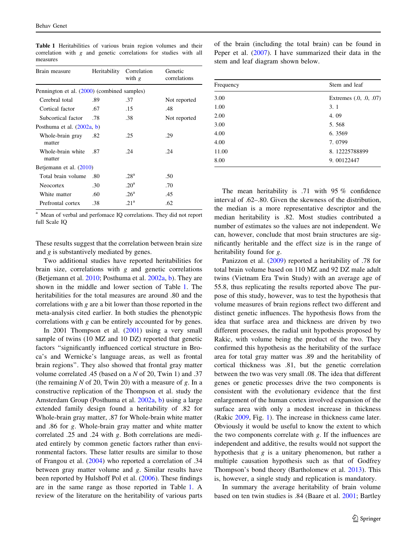<span id="page-16-0"></span>

| <b>Table 1</b> Heritabilities of various brain region volumes and their |  |  |  |  |  |
|-------------------------------------------------------------------------|--|--|--|--|--|
| correlation with $g$ and genetic correlations for studies with all      |  |  |  |  |  |
| measures                                                                |  |  |  |  |  |

| Heritability                 | Correlation<br>with $g$ | Genetic<br>correlations                     |  |
|------------------------------|-------------------------|---------------------------------------------|--|
|                              |                         |                                             |  |
| .89                          | .37                     | Not reported                                |  |
| .67                          | .15                     | .48                                         |  |
| .78                          | .38                     | Not reported                                |  |
| Posthuma et al. $(2002a, b)$ |                         |                                             |  |
| .82                          | .25                     | .29                                         |  |
| -87                          | .24                     | .24                                         |  |
| Betjemann et al. (2010)      |                         |                                             |  |
| .80                          | .28 <sup>a</sup>        | .50                                         |  |
| .30                          | .20 <sup>a</sup>        | .70                                         |  |
| .60                          | .26 <sup>a</sup>        | .45                                         |  |
| .38                          | .21 <sup>a</sup>        | .62                                         |  |
|                              |                         | Pennington et al. (2000) (combined samples) |  |

Mean of verbal and perfomace IQ correlations. They did not report full Scale IQ

These results suggest that the correlation between brain size and g is substantively mediated by genes.

Two additional studies have reported heritabilities for brain size, correlations with  $g$  and genetic correlations (Betjemann et al. [2010](#page-21-0); Posthuma et al. [2002a,](#page-26-0) [b\)](#page-26-0). They are shown in the middle and lower section of Table 1. The heritabilities for the total measures are around .80 and the correlations with  $g$  are a bit lower than those reported in the meta-analysis cited earlier. In both studies the phenotypic correlations with g can be entirely accounted for by genes.

In 2001 Thompson et al. ([2001\)](#page-27-0) using a very small sample of twins (10 MZ and 10 DZ) reported that genetic factors ''significantly influenced cortical structure in Broca's and Wernicke's language areas, as well as frontal brain regions''. They also showed that frontal gray matter volume correlated .45 (based on a N of 20, Twin 1) and .37 (the remaining  $N$  of 20, Twin 20) with a measure of g. In a constructive replication of the Thompson et al. study the Amsterdam Group (Posthuma et al. [2002a](#page-26-0), [b](#page-26-0)) using a large extended family design found a heritability of .82 for Whole-brain gray matter, .87 for Whole-brain white matter and .86 for g. Whole-brain gray matter and white matter correlated .25 and .24 with g. Both correlations are mediated entirely by common genetic factors rather than environmental factors. These latter results are similar to those of Frangou et al. [\(2004](#page-23-0)) who reported a correlation of .34 between gray matter volume and g. Similar results have been reported by Hulshoff Pol et al. ([2006\)](#page-24-0). These findings are in the same range as those reported in Table 1. A review of the literature on the heritability of various parts

of the brain (including the total brain) can be found in Peper et al. [\(2007](#page-26-0)). I have summarized their data in the stem and leaf diagram shown below.

| Frequency | Stem and leaf            |  |  |
|-----------|--------------------------|--|--|
| 3.00      | Extremes $(.0, .0, .07)$ |  |  |
| 1.00      | 3.1                      |  |  |
| 2.00      | 4.09                     |  |  |
| 3.00      | 5.568                    |  |  |
| 4.00      | 6.3569                   |  |  |
| 4.00      | 7.0799                   |  |  |
| 11.00     | 8.12225788899            |  |  |
| 8.00      | 9.00122447               |  |  |

The mean heritability is .71 with 95 % confidence interval of .62–.80. Given the skewness of the distribution, the median is a more representative descriptor and the median heritability is .82. Most studies contributed a number of estimates so the values are not independent. We can, however, conclude that most brain structures are significantly heritable and the effect size is in the range of heritability found for g.

Panizzon et al. [\(2009](#page-26-0)) reported a heritability of .78 for total brain volume based on 110 MZ and 92 DZ male adult twins (Vietnam Era Twin Study) with an average age of 55.8, thus replicating the results reported above The purpose of this study, however, was to test the hypothesis that volume measures of brain regions reflect two different and distinct genetic influences. The hypothesis flows from the idea that surface area and thickness are driven by two different processes, the radial unit hypothesis proposed by Rakic, with volume being the product of the two. They confirmed this hypothesis as the heritability of the surface area for total gray matter was .89 and the heritability of cortical thickness was .81, but the genetic correlation between the two was very small .08. The idea that different genes or genetic processes drive the two components is consistent with the evolutionary evidence that the first enlargement of the human cortex involved expansion of the surface area with only a modest increase in thickness (Rakic [2009,](#page-26-0) Fig. [1](#page-3-0)). The increase in thickness came later. Obviously it would be useful to know the extent to which the two components correlate with  $g$ . If the influences are independent and additive, the results would not support the hypothesis that g is a unitary phenomenon, but rather a multiple causation hypothesis such as that of Godfrey Thompson's bond theory (Bartholomew et al. [2013](#page-21-0)). This is, however, a single study and replication is mandatory.

In summary the average heritability of brain volume based on ten twin studies is .84 (Baare et al. [2001;](#page-21-0) Bartley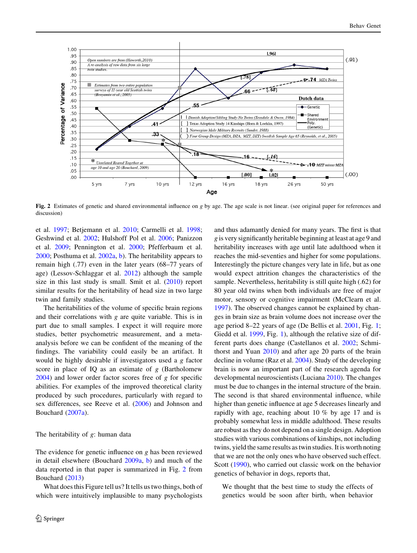<span id="page-17-0"></span>

Fig. 2 Estimates of genetic and shared environmental influence on g by age. The age scale is not linear. (see original paper for references and discussion)

et al. [1997](#page-21-0); Betjemann et al. [2010](#page-21-0); Carmelli et al. [1998](#page-22-0); Geshwind et al. [2002](#page-23-0); Hulshoff Pol et al. [2006;](#page-24-0) Panizzon et al. [2009](#page-26-0); Pennington et al. [2000;](#page-26-0) Pfefferbaum et al. [2000;](#page-26-0) Posthuma et al. [2002a,](#page-26-0) [b](#page-26-0)). The heritability appears to remain high (.77) even in the later years (68–77 years of age) (Lessov-Schlaggar et al. [2012](#page-25-0)) although the sample size in this last study is small. Smit et al. ([2010\)](#page-27-0) report similar results for the heritability of head size in two large twin and family studies.

The heritabilities of the volume of specific brain regions and their correlations with  $g$  are quite variable. This is in part due to small samples. I expect it will require more studies, better psychometric measurement, and a metaanalysis before we can be confident of the meaning of the findings. The variability could easily be an artifact. It would be highly desirable if investigators used a g factor score in place of IQ as an estimate of  $g$  (Bartholomew [2004\)](#page-21-0) and lower order factor scores free of g for specific abilities. For examples of the improved theoretical clarity produced by such procedures, particularly with regard to sex differences, see Reeve et al. ([2006\)](#page-26-0) and Johnson and Bouchard ([2007a\)](#page-24-0).

#### The heritability of  $g$ : human data

The evidence for genetic influence on  $g$  has been reviewed in detail elsewhere (Bouchard [2009a,](#page-21-0) [b\)](#page-21-0) and much of the data reported in that paper is summarized in Fig. 2 from Bouchard ([2013\)](#page-21-0)

What does this Figure tell us? It tells us two things, both of which were intuitively implausible to many psychologists

and thus adamantly denied for many years. The first is that g is very significantly heritable beginning at least at age 9 and heritability increases with age until late adulthood when it reaches the mid-seventies and higher for some populations. Interestingly the picture changes very late in life, but as one would expect attrition changes the characteristics of the sample. Nevertheless, heritability is still quite high (.62) for 80 year old twins when both individuals are free of major motor, sensory or cognitive impairment (McClearn et al. [1997](#page-25-0)). The observed changes cannot be explained by changes in brain size as brain volume does not increase over the age period 8–22 years of age (De Bellis et al. [2001](#page-22-0), Fig. [1](#page-3-0); Giedd et al. [1999](#page-23-0), Fig. [1\)](#page-3-0), although the relative size of different parts does change (Castellanos et al. [2002;](#page-22-0) Schmithorst and Yuan [2010](#page-27-0)) and after age 20 parts of the brain decline in volume (Raz et al. [2004\)](#page-26-0). Study of the developing brain is now an important part of the research agenda for developmental neuroscientists (Luciana [2010](#page-25-0)). The changes must be due to changes in the internal structure of the brain. The second is that shared environmental influence, while higher than genetic influence at age 5 decreases linearly and rapidly with age, reaching about 10 % by age 17 and is probably somewhat less in middle adulthood. These results are robust as they do not depend on a single design. Adoption studies with various combinations of kinships, not including twins, yield the same results as twin studies. It is worth noting that we are not the only ones who have observed such effect. Scott ([1990\)](#page-27-0), who carried out classic work on the behavior genetics of behavior in dogs, reports that,

We thought that the best time to study the effects of genetics would be soon after birth, when behavior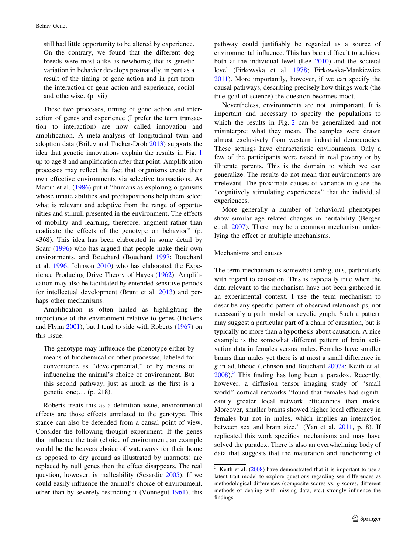still had little opportunity to be altered by experience. On the contrary, we found that the different dog breeds were most alike as newborns; that is genetic variation in behavior develops postnatally, in part as a result of the timing of gene action and in part from the interaction of gene action and experience, social and otherwise. (p. vii)

These two processes, timing of gene action and interaction of genes and experience (I prefer the term transaction to interaction) are now called innovation and amplification. A meta-analysis of longitudinal twin and adoption data (Briley and Tucker-Drob [2013](#page-22-0)) supports the idea that genetic innovations explain the results in Fig. [1](#page-3-0) up to age 8 and amplification after that point. Amplification processes may reflect the fact that organisms create their own effective environments via selective transactions. As Martin et al. ([1986\)](#page-25-0) put it ''humans as exploring organisms whose innate abilities and predispositions help them select what is relevant and adaptive from the range of opportunities and stimuli presented in the environment. The effects of mobility and learning, therefore, augment rather than eradicate the effects of the genotype on behavior'' (p. 4368). This idea has been elaborated in some detail by Scarr [\(1996](#page-27-0)) who has argued that people make their own environments, and Bouchard (Bouchard [1997;](#page-21-0) Bouchard et al. [1996;](#page-21-0) Johnson [2010\)](#page-24-0) who has elaborated the Experience Producing Drive Theory of Hayes ([1962](#page-24-0)). Amplification may also be facilitated by entended sensitive periods for intellectual development (Brant et al. [2013\)](#page-22-0) and perhaps other mechanisms.

Amplification is often hailed as highlighting the importance of the environment relative to genes (Dickens and Flynn [2001\)](#page-22-0), but I tend to side with Roberts ([1967\)](#page-26-0) on this issue:

The genotype may influence the phenotype either by means of biochemical or other processes, labeled for convenience as ''developmental,'' or by means of influencing the animal's choice of environment. But this second pathway, just as much as the first is a genetic one;… (p. 218).

Roberts treats this as a definition issue, environmental effects are those effects unrelated to the genotype. This stance can also be defended from a causal point of view. Consider the following thought experiment. If the genes that influence the trait (choice of environment, an example would be the beavers choice of waterways for their home as opposed to dry ground as illustrated by marmots) are replaced by null genes then the effect disappears. The real question, however, is malleability (Sesardic [2005\)](#page-27-0). If we could easily influence the animal's choice of environment, other than by severely restricting it (Vonnegut [1961](#page-28-0)), this pathway could justifiably be regarded as a source of environmental influence. This has been difficult to achieve both at the individual level (Lee [2010\)](#page-25-0) and the societal level (Firkowska et al. [1978;](#page-23-0) Firkowska-Mankiewicz [2011](#page-23-0)). More importantly, however, if we can specify the causal pathways, describing precisely how things work (the true goal of science) the question becomes moot.

Nevertheless, environments are not unimportant. It is important and necessary to specify the populations to which the results in Fig. [2](#page-17-0) can be generalized and not misinterpret what they mean. The samples were drawn almost exclusively from western industrial democracies. These settings have characteristic environments. Only a few of the participants were raised in real poverty or by illiterate parents. This is the domain to which we can generalize. The results do not mean that environments are irrelevant. The proximate causes of variance in g are the ''cognitively stimulating experiences'' that the individual experiences.

More generally a number of behavioral phenotypes show similar age related changes in heritability (Bergen et al. [2007\)](#page-21-0). There may be a common mechanism underlying the effect or multiple mechanisms.

## Mechanisms and causes

The term mechanism is somewhat ambiguous, particularly with regard to causation. This is especially true when the data relevant to the mechanism have not been gathered in an experimental context. I use the term mechanism to describe any specific pattern of observed relationships, not necessarily a path model or acyclic graph. Such a pattern may suggest a particular part of a chain of causation, but is typically no more than a hypothesis about causation. A nice example is the somewhat different pattern of brain activation data in females versus males. Females have smaller brains than males yet there is at most a small difference in g in adulthood (Johnson and Bouchard [2007a](#page-24-0); Keith et al.  $2008$ <sup>3</sup>. This finding has long been a paradox. Recently, however, a diffusion tensor imaging study of ''small world'' cortical networks ''found that females had significantly greater local network efficiencies than males. Moreover, smaller brains showed higher local efficiency in females but not in males, which implies an interaction between sex and brain size.'' (Yan et al. [2011,](#page-28-0) p. 8). If replicated this work specifies mechanisms and may have solved the paradox. There is also an overwhelming body of data that suggests that the maturation and functioning of

 $3$  Keith et al. [\(2008](#page-24-0)) have demonstrated that it is important to use a latent trait model to explore questions regarding sex differences as methodological differences (composite scores vs. g scores, different methods of dealing with missing data, etc.) strongly influence the findings.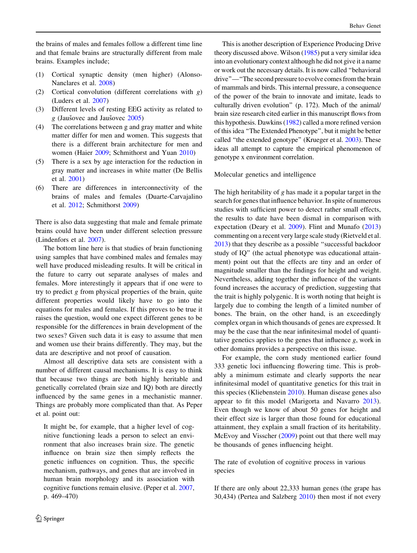the brains of males and females follow a different time line and that female brains are structurally different from male brains. Examples include;

- (1) Cortical synaptic density (men higher) (Alonso-Nanclares et al. [2008](#page-21-0))
- (2) Cortical convolution (different correlations with g) (Luders et al. [2007](#page-25-0))
- (3) Different levels of resting EEG activity as related to  $g$  (Jausovec and Jausovec [2005](#page-24-0))
- (4) The correlations between g and gray matter and white matter differ for men and women. This suggests that there is a different brain architecture for men and women (Haier [2009;](#page-23-0) Schmithorst and Yuan [2010](#page-27-0))
- (5) There is a sex by age interaction for the reduction in gray matter and increases in white matter (De Bellis et al. [2001\)](#page-22-0)
- (6) There are differences in interconnectivity of the brains of males and females (Duarte-Carvajalino et al. [2012;](#page-22-0) Schmithorst [2009](#page-27-0))

There is also data suggesting that male and female primate brains could have been under different selection pressure (Lindenfors et al. [2007](#page-25-0)).

The bottom line here is that studies of brain functioning using samples that have combined males and females may well have produced misleading results. It will be critical in the future to carry out separate analyses of males and females. More interestingly it appears that if one were to try to predict g from physical properties of the brain, quite different properties would likely have to go into the equations for males and females. If this proves to be true it raises the question, would one expect different genes to be responsible for the differences in brain development of the two sexes? Given such data it is easy to assume that men and women use their brains differently. They may, but the data are descriptive and not proof of causation.

Almost all descriptive data sets are consistent with a number of different causal mechanisms. It is easy to think that because two things are both highly heritable and genetically correlated (brain size and IQ) both are directly influenced by the same genes in a mechanistic manner. Things are probably more complicated than that. As Peper et al. point out:

It might be, for example, that a higher level of cognitive functioning leads a person to select an environment that also increases brain size. The genetic influence on brain size then simply reflects the genetic influences on cognition. Thus, the specific mechanism, pathways, and genes that are involved in human brain morphology and its association with cognitive functions remain elusive. (Peper et al. [2007](#page-26-0), p. 469–470)

This is another description of Experience Producing Drive theory discussed above. Wilson ([1985](#page-28-0)) put a very similar idea into an evolutionary context although he did not give it a name or work out the necessary details. It is now called ''behavioral drive''—''The second pressure to evolve comes from the brain of mammals and birds. This internal pressure, a consequence of the power of the brain to innovate and imitate, leads to culturally driven evolution'' (p. 172). Much of the animal/ brain size research cited earlier in this manuscript flows from this hypothesis. Dawkins [\(1982\)](#page-22-0) called a more refined version of this idea ''The Extended Phenotype'', but it might be better called ''the extended genotype'' (Krueger et al. [2003\)](#page-25-0). These ideas all attempt to capture the empirical phenomenon of genotype x environment correlation.

Molecular genetics and intelligence

The high heritability of  $g$  has made it a popular target in the search for genes that influence behavior. In spite of numerous studies with sufficient power to detect rather small effects, the results to date have been dismal in comparison with expectation (Deary et al. [2009\)](#page-22-0). Flint and Munafo ([2013\)](#page-23-0) commenting on a recent very large scale study (Rietveld et al. [2013](#page-26-0)) that they describe as a possible ''successful backdoor study of IQ'' (the actual phenotype was educational attainment) point out that the effects are tiny and an order of magnitude smaller than the findings for height and weight. Nevertheless, adding together the influence of the variants found increases the accuracy of prediction, suggesting that the trait is highly polygenic. It is worth noting that height is largely due to combing the length of a limited number of bones. The brain, on the other hand, is an exceedingly complex organ in which thousands of genes are expressed. It may be the case that the near infinitesimal model of quantitative genetics applies to the genes that influence g, work in other domains provides a perspective on this issue.

For example, the corn study mentioned earlier found 333 genetic loci influencing flowering time. This is probably a minimum estimate and clearly supports the near infinitesimal model of quantitative genetics for this trait in this species (Kliebenstein [2010](#page-24-0)). Human disease genes also appear to fit this model (Marigorta and Navarro [2013](#page-25-0)). Even though we know of about 50 genes for height and their effect size is larger than those found for educational attainment, they explain a small fraction of its heritability. McEvoy and Visscher [\(2009](#page-25-0)) point out that there well may be thousands of genes influencing height.

The rate of evolution of cognitive process in various species

If there are only about 22,333 human genes (the grape has 30,434) (Pertea and Salzberg [2010](#page-26-0)) then most if not every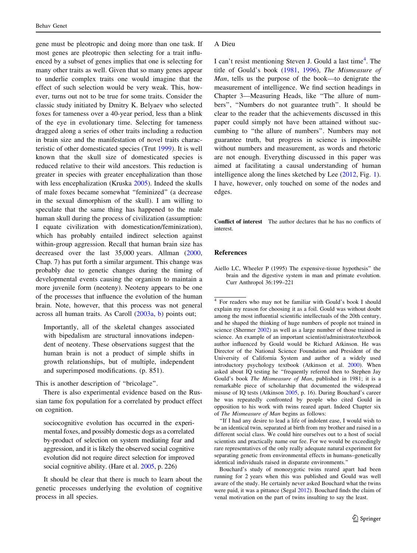<span id="page-20-0"></span>gene must be pleotropic and doing more than one task. If most genes are pleotropic then selecting for a trait influenced by a subset of genes implies that one is selecting for many other traits as well. Given that so many genes appear to underlie complex traits one would imagine that the effect of such selection would be very weak. This, however, turns out not to be true for some traits. Consider the classic study initiated by Dmitry K. Belyaev who selected foxes for tameness over a 40-year period, less than a blink of the eye in evolutionary time. Selecting for tameness dragged along a series of other traits including a reduction in brain size and the manifestation of novel traits characteristic of other domesticated species (Trut [1999](#page-27-0)). It is well known that the skull size of domesticated species is reduced relative to their wild ancestors. This reduction is greater in species with greater encephalization than those with less encephalization (Kruska [2005](#page-25-0)). Indeed the skulls of male foxes became somewhat ''feminized'' (a decrease in the sexual dimorphism of the skull). I am willing to speculate that the same thing has happened to the male human skull during the process of civilization (assumption: I equate civilization with domestication/feminization), which has probably entailed indirect selection against within-group aggression. Recall that human brain size has decreased over the last 35,000 years. Allman ([2000,](#page-21-0) Chap. 7) has put forth a similar argument. This change was probably due to genetic changes during the timing of developmental events causing the organism to maintain a more juvenile form (neoteny). Neoteny appears to be one of the processes that influence the evolution of the human brain. Note, however, that this process was not general across all human traits. As Caroll [\(2003a,](#page-22-0) [b](#page-22-0)) points out;

Importantly, all of the skeletal changes associated with bipedalism are structural innovations independent of neoteny. These observations suggest that the human brain is not a product of simple shifts in growth relationships, but of multiple, independent and superimposed modifications. (p. 851).

This is another description of ''bricolage''.

There is also experimental evidence based on the Russian tame fox population for a correlated by product effect on cognition.

sociocognitive evolution has occurred in the experimental foxes, and possibly domestic dogs as a correlated by-product of selection on system mediating fear and aggression, and it is likely the observed social cognitive evolution did not require direct selection for improved social cognitive ability. (Hare et al. [2005](#page-24-0), p. 226)

It should be clear that there is much to learn about the genetic processes underlying the evolution of cognitive process in all species.

#### A Dieu

I can't resist mentioning Steven J. Gould a last time<sup>4</sup>. The title of Gould's book ([1981,](#page-23-0) [1996](#page-23-0)), The Mismeasure of Man, tells us the purpose of the book—to denigrate the measurement of intelligence. We find section headings in Chapter 3—Measuring Heads, like ''The allure of numbers'', ''Numbers do not guarantee truth''. It should be clear to the reader that the achievements discussed in this paper could simply not have been attained without succumbing to ''the allure of numbers''. Numbers may not guarantee truth, but progress in science is impossible without numbers and measurement, as words and rhetoric are not enough. Everything discussed in this paper was aimed at facilitating a causal understanding of human intelligence along the lines sketched by Lee [\(2012](#page-25-0), Fig. [1](#page-3-0)). I have, however, only touched on some of the nodes and edges.

Conflict of interest The author declares that he has no conflicts of interest.

## References

Aiello LC, Wheeler P (1995) The expensive-tissue hypothesis'' the brain and the digestive system in man and primate evolution. Curr Anthropol 36:199–221

 $4\overline{4}$  For readers who may not be familiar with Gould's book I should explain my reason for choosing it as a foil. Gould was without doubt among the most influential scientific intellectuals of the 20th century, and he shaped the thinking of huge numbers of people not trained in science (Shermer [2002\)](#page-27-0) as well as a large number of those trained in science. An example of an important scientist/administrator/textbook author influenced by Gould would be Richard Atkinson. He was Director of the National Science Foundation and President of the University of California System and author of a widely used introductory psychology textbook (Atkinson et al. [2000\)](#page-21-0). When asked about IQ testing he ''frequently referred then to Stephen Jay Gould's book The Mismeasure of Man, published in 1981; it is a remarkable piece of scholarship that documented the widespread misuse of IQ tests (Atkinson [2005](#page-21-0), p. 16). During Bouchard's career he was repeatedly confronted by people who cited Gould in opposition to his work with twins reared apart. Indeed Chapter six of The Mismeasure of Man begins as follows:

''If I had any desire to lead a life of indolent ease, I would wish to be an identical twin, separated at birth from my brother and raised in a different social class. We could hire ourselves out to a host of social scientists and practically name our fee. For we would be exceedingly rare representatives of the only really adequate natural experiment for separating genetic from environmental effects in humans–genetically identical individuals raised in disparate environments.''

Bouchard's study of monozygotic twins reared apart had been running for 2 years when this was published and Gould was well aware of the study. He certainly never asked Bouchard what the twins were paid, it was a pittance (Segal [2012](#page-27-0)). Bouchard finds the claim of venal motivation on the part of twins insulting to say the least.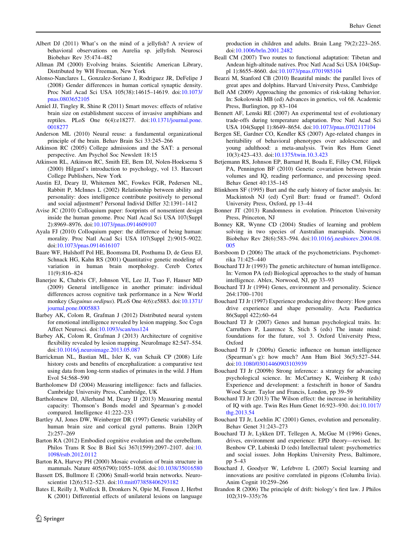- <span id="page-21-0"></span>Albert DJ (2011) What's on the mind of a jellyfish? A review of behavioral observations on Aurelia sp. jellyfish. Neurosci Biobehav Rev 35:474–482
- Allman JM (2000) Evolving brains. Scientific American Library, Distributed by WH Freeman, New York
- Alonso-Nanclares L, Gonzalez-Soriano J, Rodriguez JR, DeFelipe J (2008) Gender differences in human cortical synaptic density. Proc Natl Acad Sci USA 105(38):14615–14619. doi[:10.1073/](http://dx.doi.org/10.1073/pnas.0803652105) [pnas.0803652105](http://dx.doi.org/10.1073/pnas.0803652105)
- Amiel JJ, Tingley R, Shine R (2011) Smart moves: effects of relative brain size on establishment success of invasive amphibians and reptiles. PLoS One 6(4):e18277. doi[:10.1371/journal.pone.](http://dx.doi.org/10.1371/journal.pone.0018277) [0018277](http://dx.doi.org/10.1371/journal.pone.0018277)
- Anderson ML (2010) Neural reuse: a fundamental organizational principle of the brain. Behav Brain Sci 33:245–266
- Atkinson RC (2005) College admissions and the SAT: a personal perspective. Am Psychol Soc Newslett 18:15
- Atkinson RL, Atkinson RC, Smith EE, Bem DJ, Nolen-Hoeksema S (2000) Hilgard's introduction to psychology, vol 13. Harcourt College Publishers, New York
- Austin EJ, Deary IJ, Whitemen MC, Fowkes FGR, Pedersen NL, Rabbitt P, McInnes L (2002) Relationship between ability and personality: does intelligence contribute positively to personal and social adjustment? Personal Individ Differ 32:1391–1412
- Avise JC (2010) Colloquium paper: footprints of nonsentient design inside the human genome. Proc Natl Acad Sci USA 107(Suppl 2):8969–8976. doi:[10.1073/pnas.0914609107](http://dx.doi.org/10.1073/pnas.0914609107)
- Ayala FJ (2010) Colloquium paper: the difference of being human: morality. Proc Natl Acad Sci USA 107(Suppl 2):9015–9022. doi[:10.1073/pnas.0914616107](http://dx.doi.org/10.1073/pnas.0914616107)
- Baare WF, Hulshoff Pol HE, Boomsma DI, Posthuma D, de Geus EJ, Schnack HG, Kahn RS (2001) Quantitative genetic modeling of variation in human brain morphology. Cereb Cortex 11(9):816–824
- Banerjee K, Chabris CF, Johnson VE, Lee JJ, Tsao F, Hauser MD (2009) General intelligence in another primate: individual differences across cognitive task performance in a New World monkey (Saguinus oedipus). PLoS One 4(6):e5883. doi[:10.1371/](http://dx.doi.org/10.1371/journal.pone.0005883) [journal.pone.0005883](http://dx.doi.org/10.1371/journal.pone.0005883)
- Barbey AK, Colom R, Grafman J (2012) Distributed neural system for emotional intelligence revealed by lesion mapping. Soc Cogn Affect Neurosci. doi[:10.1093/scan/nss124](http://dx.doi.org/10.1093/scan/nss124)
- Barbey AK, Colom R, Grafman J (2013) Architecture of cognitive flexibility revealed by lesion mapping. NeuroImage 82:547–554. doi[:10.1016/j.neuroimage.2013.05.087](http://dx.doi.org/10.1016/j.neuroimage.2013.05.087)
- Barrickman NL, Bastian ML, Isler K, van Schaik CP (2008) Life history costs and benefits of encephalization: a comparative test using data from long-term studies of primates in the wild. J Hum Evol 54:568–590
- Bartholomew DJ (2004) Measuring intelligence: facts and fallacies. Cambridge University Press, Cambridge, UK
- Bartholomew DJ, Allerhand M, Deary IJ (2013) Measuring mental capacity: Thomson's Bonds model and Spearman's g-model compared. Intelligence 41:222–233
- Bartley AJ, Jones DW, Weinberger DR (1997) Genetic variability of human brain size and cortical gyral patterns. Brain 120(Pt 2):257–269
- Barton RA (2012) Embodied cognitive evolution and the cerebellum. Philos Trans R Soc B Biol Sci 367(1599):2097–2107. doi:[10.](http://dx.doi.org/10.1098/rstb.2012.0112) [1098/rstb.2012.0112](http://dx.doi.org/10.1098/rstb.2012.0112)
- Barton RA, Harvey PH (2000) Mosaic evolution of brain structure in mammals. Nature 405(6790):1055–1058. doi[:10.1038/35016580](http://dx.doi.org/10.1038/35016580)
- Bassett DS, Bullmore E (2006) Small-world brain networks. Neuroscientist 12(6):512–523. doi[:10.ttnit073858406293182](http://dx.doi.org/10.ttnit073858406293182)
- Bates E, Reilly J, Wulfeck B, Dronkers N, Opie M, Fenson J, Herbst K (2001) Differential effects of unilateral lesions on language

production in children and adults. Brain Lang 79(2):223–265. doi[:10.1006/brln.2001.2482](http://dx.doi.org/10.1006/brln.2001.2482)

- Beall CM (2007) Two routes to functional adaptation: Tibetan and Andean high-altitude natives. Proc Natl Acad Sci USA 104(Suppl 1):8655–8660. doi[:10.1073/pnas.0701985104](http://dx.doi.org/10.1073/pnas.0701985104)
- Bearzi M, Stanford CB (2010) Beautiful minds: the parallel lives of great apes and dolphins. Harvard University Press, Cambridge
- Bell AM (2009) Approaching the genomics of risk-taking behavior. In: Sokolowski MB (ed) Advances in genetics, vol 68. Academic Press, Burlington, pp 83–104
- Bennett AF, Lenski RE (2007) An experimental test of evolutionary trade-offs during temperature adaptation. Proc Natl Acad Sci USA 104(Suppl 1):8649–8654. doi:[10.1073/pnas.0702117104](http://dx.doi.org/10.1073/pnas.0702117104)
- Bergen SE, Gardner CO, Kendler KS (2007) Age-related changes in heritability of behavioral phenotypes over adolescence and young adulthood: a meta-analysis. Twin Res Hum Genet 10(3):423–433. doi:[10.1375/twin.10.3.423](http://dx.doi.org/10.1375/twin.10.3.423)
- Betjemann RS, Johnson EP, Barnard H, Boada E, Filley CM, Filipek PA, Pennington BF (2010) Genetic covariation between brain volumes and IQ, reading performance, and processing speed. Behav Genet 40:135–145
- Blinkhorn SF (1995) Burt and the early history of factor analysis. In: Mackintosh NJ (ed) Cyril Burt: fraud or framed?. Oxford University Press, Oxford, pp 13–44
- Bonner JT (2013) Randomness in evolution. Princeton University Press, Princeton, NJ
- Bonney KR, Wynne CD (2004) Studies of learning and problem solving in two species of Australian marsupials. Neurosci Biobehav Rev 28(6):583–594. doi[:10.1016/j.neubiorev.2004.08.](http://dx.doi.org/10.1016/j.neubiorev.2004.08.005) [005](http://dx.doi.org/10.1016/j.neubiorev.2004.08.005)
- Borsboom D (2006) The attack of the psychometricians. Psychometrika 71:425–440
- Bouchard TJ Jr (1993) The genetic architecture of human intelligence. In: Vernon PA (ed) Biological approaches to the study of human intelligence. Ablex, Norwood, NJ, pp 33–93
- Bouchard TJ Jr (1994) Genes, environment and personality. Science 264:1700–1701
- Bouchard TJ Jr (1997) Experience producing drive theory: How genes drive experience and shape personality. Acta Paediatrica 86(Suppl 422):60–64
- Bouchard TJ Jr (2007) Genes and human psychological traits. In: Carruthers P, Laurence S, Stich S (eds) The innate mind: foundations for the future, vol 3. Oxford University Press, Oxford
- Bouchard TJ Jr (2009a) Genetic influence on human intelligence (Spearman's g): how much? Ann Hum Biol  $36(5):527-544$ . doi[:10.1080/03014460903103939](http://dx.doi.org/10.1080/03014460903103939)
- Bouchard TJ Jr (2009b) Strong inference: a strategy for advancing psychological science. In: McCartney K, Weinberg R (eds) Experience and development: a festschrift in honor of Sandra Wood Scarr. Taylor and Francis, London, pp 39–59
- Bouchard TJ Jr (2013) The Wilson effect: the increase in heritability of IQ with age. Twin Res Hum Genet 16:923–930. doi[:10.1017/](http://dx.doi.org/10.1017/thg.2013.54) [thg.2013.54](http://dx.doi.org/10.1017/thg.2013.54)
- Bouchard TJ Jr, Loehlin JC (2001) Genes, evolution and personality. Behav Genet 31:243–273
- Bouchard TJ Jr, Lykken DT, Tellegen A, McGue M (1996) Genes, drives, environment and experience: EPD theory—revised. In: Benbow CP, Lubinski D (eds) Intellectual talent: psychometrics and social issues. John Hopkins University Press, Baltimore, pp 5–43
- Bouchard J, Goodyer W, Lefebvre L (2007) Social learning and innovations are positive correlated in pigeons (Columba livia). Anim Cognit 10:259–266
- Brandon R (2006) The principle of drift: biology's first law. J Philos 102(319–335):76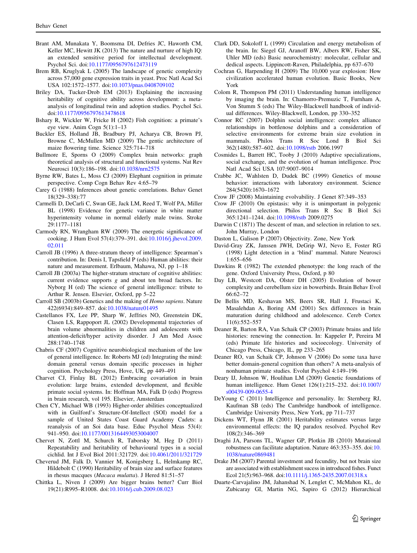- <span id="page-22-0"></span>Brant AM, Munakata Y, Boomsma DI, Defries JC, Haworth CM, Keller MC, Hewitt JK (2013) The nature and nurture of high IQ: an extended sensitive period for intellectual development. Psychol Sci. doi:[10.1177/0956797612473119](http://dx.doi.org/10.1177/0956797612473119)
- Brem RB, Kruglyak L (2005) The landscape of genetic complexity across 57,000 gene expression traits in yeast. Proc Natl Acad Sci USA 102:1572–1577. doi[:10.1073/pnas.0408709102](http://dx.doi.org/10.1073/pnas.0408709102)
- Briley DA, Tucker-Drob EM (2013) Explaining the increasing heritability of cognitive ability across development: a metaanalysis of longitudinal twin and adoption studies. Psychol Sci. doi[:10.1177/0956797613478618](http://dx.doi.org/10.1177/0956797613478618)
- Bshary R, Wickler W, Fricke H (2002) Fish cognition: a primate's eye view. Anim Cogn 5(1):1–13
- Buckler ES, Holland JB, Bradbury PJ, Acharya CB, Brown PJ, Browne C, McMullen MD (2009) The gentic architecture of maize flowering time. Science 325:714–718
- Bullmore E, Sporns O (2009) Complex brain networks: graph theoretical analysis of structural and functional systems. Nat Rev Neurosci 10(3):186–198. doi[:10.1038/nrn2575](http://dx.doi.org/10.1038/nrn2575)
- Byrne RW, Bates L, Moss CJ (2009) Elephant cognition in primate perspective. Comp Cogn Behav Rev 4:65–79
- Carey G (1988) Inferences about genetic correlations. Behav Genet 18(329–338):77
- Carmelli D, DeCarli C, Swan GE, Jack LM, Reed T, Wolf PA, Miller BL (1998) Evidence for genetic variance in white matter hyperintensity volume in normal elderly male twins. Stroke 29:1177–1181
- Carmody RN, Wrangham RW (2009) The energetic significance of cooking. J Hum Evol 57(4):379–391. doi[:10.1016/j.jhevol.2009.](http://dx.doi.org/10.1016/j.jhevol.2009.02.011) [02.011](http://dx.doi.org/10.1016/j.jhevol.2009.02.011)
- Carroll JB (1996) A three-stratum theory of intelligence: Spearman's contribution. In: Denis I, Tapsfield P (eds) Human abilities: their nature and measurement. Erlbaum, Mahawa, NJ, pp 1–18
- Carroll JB (2003a) The higher-stratum structure of cognitive abilities: current evidence supports g and about ten broad factors. In: Nyborg H (ed) The science of general intelligence: tribute to Arthur R. Jensen. Elsevier, Oxford, pp 5–22
- Carroll SB (2003b) Genetics and the making of Homo sapiens. Nature 422(6934):849–857. doi:[10.1038/nature01495](http://dx.doi.org/10.1038/nature01495)
- Castellanos FX, Lee PP, Sharp W, Jeffries NO, Greenstein DK, Clasen LS, Rappoport JL (2002) Developmental trajectories of brain volume abnormalities in children and adolescents with attention-deficit/hyper activity disorder. J Am Med Assoc 288:1740–1748
- Chabris CF (2007) Cognitive neurobiological mechanism of the law of general intelligence. In: Roberts MJ (ed) Integrating the mind: domain general versus domain specific processes in higher cognition. Psychology Press, Hove, UK, pp 449–491
- Charvet CJ, Finlay BL (2012) Embracing covariation in brain evolution: large brains, extended development, and flexible primate social systems. In: Hoffman MA, Falk D (eds) Progress in brain research, vol 195. Elsevier, Amsterdam
- Chen CY, Michael WB (1993) Higher-order abilities conceptualized with in Guilford's Structure-Of-Intellect (SOI) model for a sample of United States Coast Guard Academy Cadets: a reanalysis of an Soi data base. Educ Psychol Meas 53(4): 941–950. doi:[10.1177/0013164493053004007](http://dx.doi.org/10.1177/0013164493053004007)
- Chervet N, Zottl M, Schurch R, Taborsky M, Heg D (2011) Repeatability and heritability of behavioural types in a social cichlid. Int J Evol Biol 2011:321729. doi:[10.4061/2011/321729](http://dx.doi.org/10.4061/2011/321729)
- Cheverud JM, Falk D, Vannier M, Konigsberg L, Helmkamp RC, Hildebolt C (1990) Heritability of brain size and surface features in rhesus macques (Macaca mulatta). J Hered 81:51–57
- Chittka L, Niven J (2009) Are bigger brains better? Curr Biol 19(21):R995–R1008. doi[:10.1016/j.cub.2009.08.023](http://dx.doi.org/10.1016/j.cub.2009.08.023)
- Clark DD, Sokoloff L (1999) Circulation and energy metabolism of the brain. In: Siegel GJ, Aranoff BW, Albers RW, Fisher SK, Uhler MD (eds) Basic neurochemistry: molecular, cellular and dedical aspects. Lippincott-Raven, Philadelphia, pp 637–670
- Cochran G, Harpending H (2009) The 10,000 year explosion: How civilization accelerated human evolution. Basic Books, New York
- Colom R, Thompson PM (2011) Understanding human intelligence by imaging the brain. In: Chamorro-Premuzic T, Furnham A, Von Stumm S (eds) The Wiley-Blackwell handbook of individual differences. Wiley-Blackwell, London, pp 330–352
- Connor RC (2007) Dolphin social intelligence: complex alliance relationships in bottlenose dolphins and a consideration of selective environments for extreme brain size evolution in mammals. Philos Trans R Soc Lond B Biol Sci 362(1480):587–602. doi:[10.1098/rstb](http://dx.doi.org/10.1098/rstb) 2006.1997
- Cosmides L, Barrett HC, Tooby J (2010) Adaptive specializations, social exchange, and the evolution of human intelligence. Proc Natl Acad Sci USA 107:9007–9014
- Crabbe JC, Wahlsten D, Dudek BC (1999) Genetics of mouse behavior: interactions with laboratory environment. Science 284(5420):1670–1672
- Crow JF (2008) Maintaining evolvability. J Genet 87:349–353
- Crow JF (2010) On epistasis: why it is unimportant in polygenic directional selection. Philos Trans R Soc B Biol Sci 365:1241–1244. doi:[10.1098/rstb](http://dx.doi.org/10.1098/rstb) 2009.0275
- Darwin C (1871) The descent of man, and selection in relation to sex. John Murray, London
- Daston L, Galison P (2007) Objectivity. Zone, New York
- David-Gray ZK, Janssen JWH, DeGrip WJ, Nevo E, Foster RG (1998) Light detection in a 'blind' mammal. Nature Neurosci 1:655–656
- Dawkins R (1982) The extended phenotype: the long reach of the gene. Oxford University Press, Oxford, p 80
- Day LB, Westcott DA, Olster DH (2005) Evolution of bower complexity and cerebellum size in bowerbirds. Brain Behav Evol 66:62–72
- De Bellis MD, Keshavan MS, Beers SR, Hall J, Frustaci K, Masalehdan A, Boring AM (2001) Sex differences in brain maturation during childhood and adolescence. Cereb Cortex 11(6):552–557
- Deaner R, Barton RA, Van Schaik CP (2003) Primate brains and life histories: renewing the connection. In: Kappeler P, Pereira M (eds) Primate life histories and socioecology. University of Chicago Press, Chicago, IL, pp 233–265
- Deaner RO, van Schaik CP, Johnson V (2006) Do some taxa have better domain-general cognition than others? A meta-analysis of nonhuman primate studies. Evolut Psychol 4:149–196
- Deary IJ, Johnson W, Houlihan LM (2009) Genetic foundations of human intelligence. Hum Genet 126(1):215–232. doi[:10.1007/](http://dx.doi.org/10.1007/s00439-009-0655-4) [s00439-009-0655-4](http://dx.doi.org/10.1007/s00439-009-0655-4)
- DeYoung C (2011) Intelligence and personality. In: Sternberg RJ, Kaufman SB (eds) The Cambridge handbook of intelligence. Cambridge University Press, New York, pp 711–737
- Dickens WT, Flynn JR (2001) Heritability estimates versus large environmental effects: the IQ paradox resolved. Psychol Rev 108(2):346–369
- Draghi JA, Parsons TL, Wagner GP, Plotkin JB (2010) Mutational robustness can facilitate adaptation. Nature 463:353–355. doi:[10.](http://dx.doi.org/10.1038/nature0869481) [1038/nature0869481](http://dx.doi.org/10.1038/nature0869481)
- Drake JM (2007) Parental investment and fecundity, but not brain size are associated with establishment sucess in introduced fishes. Funct Ecol 21(5):963–968. doi[:10.1111/j.1365-2435.2007.01318.x](http://dx.doi.org/10.1111/j.1365-2435.2007.01318.x)
- Duarte-Carvajalino JM, Jahanshad N, Lenglet C, McMahon KL, de Zubicaray GI, Martin NG, Sapiro G (2012) Hierarchical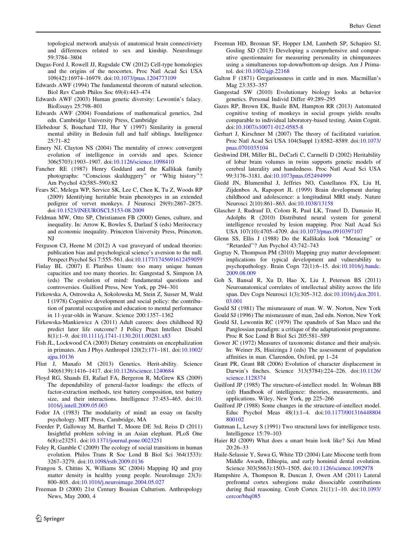<span id="page-23-0"></span>topological metwork analysis of anatomical brain connectiviety and differences related to sex and kinship. NeuroImage 59:3784–3804

- Dugas-Ford J, Rowell JJ, Ragsdale CW (2012) Cell-type homologies and the origins of the neocortex. Proc Natl Acad Sci USA 109(42):16974–16979. doi:[10.1073/pnas.1204773109](http://dx.doi.org/10.1073/pnas.1204773109)
- Edwards AWF (1994) The fundamental theorem of natural selection. Biol Rev Camb Philos Soc 69(4):443–474
- Edwards AWF (2003) Human genetic diversity: Lewontin's falacy. BioEssays 25:798–801
- Edwards AWF (2004) Foundations of mathematical genetics, 2nd edn. Cambridge University Press, Cambridge
- Elebedour S, Bouchard TJJ, Hur Y (1997) Similarity in general mental ability in Bedouin full and half siblings. Intelligence 25:71–82
- Emery NJ, Clayton NS (2004) The mentality of crows: convergent evolution of intelligence in corvids and apes. Science 306(5703):1903–1907. doi:[10.1126/science.1098410](http://dx.doi.org/10.1126/science.1098410)
- Fancher RE (1987) Henry Goddard and the Kallikak family photographs: "Conscious skulduggery" or "Whig history"? Am Psychol 42(585–590):82
- Fears SC, Melega WP, Service SK, Lee C, Chen K, Tu Z, Woods RP (2009) Identifying heritable brain phenotypes in an extended pedigree of vervet monkeys. J Neurosci 29(9):2867–2875. doi[:10.1523/JNEUROSCI.5153-08.2009](http://dx.doi.org/10.1523/JNEUROSCI.5153-08.2009)
- Feldman MW, Otto SP, Christiansen FB (2000) Genes, culture, and inequality. In: Arrow K, Bowles S, Durlauf S (eds) Meritocracy and economic inequality. Princeton University Press, Princeton, NJ
- Ferguson CJ, Heene M (2012) A vast graveyard of undead theories: publication bias and psychological science's aversion to the null. Perspect Psychol Sci 7:555–561. doi[:10.1177/1745691612459059](http://dx.doi.org/10.1177/1745691612459059)
- Finlay BL (2007) E Pluribus Unum: too many unique human capacities and too many theories. In: Gangestad S, Simpson JA (eds) The evolution of mind: fundamental questions and controversies. Guilford Press, New York, pp 294–301
- Firkowska A, Ostrowska A, Sokolowska M, Stein Z, Susser M, Wald I (1978) Cognitive development and social policy: the contribution of parental occupation and education to mental performance in 11-year-olds in Warsaw. Science 200:1357–1362
- Firkowska-Mankiewicz A (2011) Adult careers: does childhood IQ predict later life outcome? J Policy Pract Intellect Disabil 8(1):1–9. doi[:10.1111/j.1741-1130.2011.00281.x83](http://dx.doi.org/10.1111/j.1741-1130.2011.00281.x83)
- Fish JL, Lockwood CA (2003) Dietary constraints on encephalization in primates. Am J Phys Anthropol 120(2):171–181. doi[:10.1002/](http://dx.doi.org/10.1002/ajpa.10136) [ajpa.10136](http://dx.doi.org/10.1002/ajpa.10136)
- Flint J, Munafo M (2013) Genetics. Herit-ability. Science 340(6139):1416–1417. doi:[10.1126/science.1240684](http://dx.doi.org/10.1126/science.1240684)
- Floyd RG, Shands EI, Rafael FA, Bergeron R, McGrew KS (2009) The dependability of general-factor loadings: the effects of factor-extraction methods, test battery composition, test battery size, and their interactions. Intelligence 37:453–465. doi:[10.](http://dx.doi.org/10.1016/j.intell.2009.05.003) [1016/j.intell.2009.05.003](http://dx.doi.org/10.1016/j.intell.2009.05.003)
- Fodor JA (1983) The modularity of mind: an essay on faculty psychology. MIT Press, Cambridge, MA
- Foerder P, Galloway M, Barthel T, Moore DE 3rd, Reiss D (2011) Insightful problem solving in an Asian elephant. PLoS One 6(8):e23251. doi:[10.1371/journal.pone.0023251](http://dx.doi.org/10.1371/journal.pone.0023251)
- Foley R, Gamble C (2009) The ecology of social transitions in human evolution. Philos Trans R Soc Lond B Biol Sci 364(1533): 3267–3279. doi[:10.1098/rstb.2009.0136](http://dx.doi.org/10.1098/rstb.2009.0136)
- Frangou S, Chitins X, Williams SC (2004) Mapping IQ and gray matter density in healthy young people. NeuroImage 23(3): 800–805. doi:[10.1016/j.neuroimage.2004.05.027](http://dx.doi.org/10.1016/j.neuroimage.2004.05.027)
- Freeman D (2000) 21st Century Boasian Culturism. Anthropology News, May 2000, 4
- Freeman HD, Brosnan SF, Hopper LM, Lambeth SP, Schapiro SJ, Gosling SD (2013) Developing a comprehensive and comparative questionnaire for measuring personality in chimpanzees using a simultaneous top-down/bottom-up design. Am J Primatol. doi[:10.1002/ajp.22168](http://dx.doi.org/10.1002/ajp.22168)
- Galton F (1871) Gregariousness in cattle and in men. Macmillan's Mag 23:353–357
- Gangestad SW (2010) Evolutionary biology looks at behavior genetics. Personal Individ Differ 49:289–295
- Gazes RP, Brown EK, Basile BM, Hampton RR (2013) Automated cognitive testing of monkeys in social groups yields results comparable to individual laboratory-based testing. Anim Cognit. doi[:10.1007/s10071-012-0585-8](http://dx.doi.org/10.1007/s10071-012-0585-8)
- Gerhart J, Kirschner M (2007) The theory of facilitated variation. Proc Natl Acad Sci USA 104(Suppl 1):8582–8589. doi[:10.1073/](http://dx.doi.org/10.1073/pnas.0701035104) [pnas.0701035104](http://dx.doi.org/10.1073/pnas.0701035104)
- Geshwind DH, Miller BL, DeCarli C, Carmelli D (2002) Heritability of lobar brain volumes in twins supports genetic models of cerebral laterality and handedness. Proc Natl Acad Sci USA 99:3176–3181. doi[:10.1073pnas.052494999](http://dx.doi.org/10.1073pnas.052494999)
- Giedd JN, Blumenthal J, Jeffries NO, Castellanos FX, Liu H, Zijdenbos A, Rapoport JL (1999) Brain development during childhood and adolescence: a longitudinal MRI study. Nature Neurosci 2(10):861–863. doi[:10.1038/13158](http://dx.doi.org/10.1038/13158)
- Glascher J, Rudrauf D, Colom R, Paul LK, Tranel D, Damasio H, Adolphs R (2010) Distributed neural system for general intelligence revealed by lesion mapping. Proc Natl Acad Sci USA 107(10):4705–4709. doi[:10.1073/pnas.0910397107](http://dx.doi.org/10.1073/pnas.0910397107)
- Glenn SS, Ellis J (1988) Do the Kallikaks look ''Menacing'' or ''Retarded''? Am Psychol 43:742–743
- Gogtay N, Thompson PM (2010) Mapping gray matter development: implications for typical development and vulnerability to psychopathology. Brain Cogn 72(1):6–15. doi[:10.1016/j.bandc.](http://dx.doi.org/10.1016/j.bandc.2009.08.009) [2009.08.009](http://dx.doi.org/10.1016/j.bandc.2009.08.009)
- Goh S, Bansal R, Xu D, Hao X, Liu J, Peterson BS (2011) Neuroanatomical correlates of intellectual ability across the life span. Dev Cogn Neurosci 1(3):305–312. doi[:10.1016/j.dcn.2011.](http://dx.doi.org/10.1016/j.dcn.2011.03.001) [03.001](http://dx.doi.org/10.1016/j.dcn.2011.03.001)
- Gould SJ (1981) The mismeasure of man. W. W. Norton, New York
- Gould SJ (1996) The mismeasure of man, 2nd edn. Norton, New York
- Gould SJ, Lewontin RC (1979) The spandrels of San Maco and the Panglossian paradigm: a critique of the adaptationist programme. Proc R Soc Lond B Biol Sci 205:581–589
- Gower JC (1972) Measures of taxonomic distance and their analysis. In: Weiner JS, Hiuizinga J (eds) The assessment of population affinities in man. Clarendon, Oxford, pp 1–24
- Grant PR, Grant BR (2006) Evolution of character displacement in Darwin's finches. Science 313(5784):224–226. doi[:10.1126/](http://dx.doi.org/10.1126/science.1128374) [science.1128374](http://dx.doi.org/10.1126/science.1128374)
- Guilford JP (1985) The structure-of-intellect model. In: Wolman BB (ed) Handbook of intelligence: theories, measurements, and applications. Wiley, New York, pp 225–266
- Guilford JP (1988) Some changes in the structure-of-intellect model. Educ Psychol Meas 48(1):1–4. doi:[10.1177/001316448804](http://dx.doi.org/10.1177/001316448804800102) [800102](http://dx.doi.org/10.1177/001316448804800102)
- Guttman L, Levey S (1991) Two structural laws for intelligence tests. Intelligence 15:79–103
- Haier RJ (2009) What does a smart brain look like? Sci Am Mind 20:26–33
- Haile-Selassie Y, Suwa G, White TD (2004) Late Miocene teeth from Middle Awash, Ethiopia, and early hominid dental evolution. Science 303(5663):1503–1505. doi[:10.1126/science.1092978](http://dx.doi.org/10.1126/science.1092978)
- Hampshire A, Thompson R, Duncan J, Owen AM (2011) Lateral prefrontal cortex subregions make dissociable contributions during fluid reasoning. Cereb Cortex 21(1):1–10. doi[:10.1093/](http://dx.doi.org/10.1093/cercor/bhq085) [cercor/bhq085](http://dx.doi.org/10.1093/cercor/bhq085)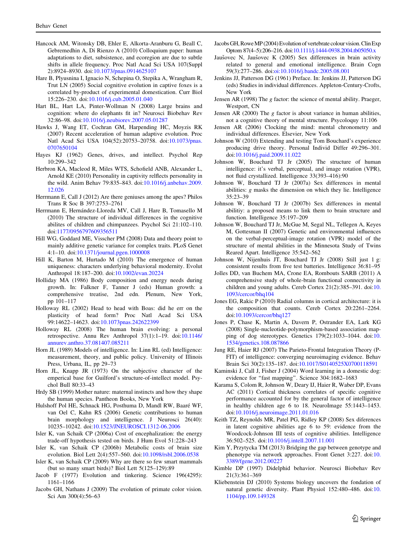- <span id="page-24-0"></span>Hancock AM, Witonsky DB, Ehler E, Alkorta-Aranburu G, Beall C, Gebremedhin A, Di Rienzo A (2010) Colloquium paper: human adaptations to diet, subsistence, and ecoregion are due to subtle shifts in allele frequency. Proc Natl Acad Sci USA 107(Suppl 2):8924–8930. doi:[10.1073/pnas.0914625107](http://dx.doi.org/10.1073/pnas.0914625107)
- Hare B, Plyusnina I, Ignacio N, Schepina O, Stepika A, Wrangham R, Trut LN (2005) Social cognitive evolution in captive foxes is a correlated by-product of experimental domestication. Curr Biol 15:226–230. doi:[10.1016/j.cub.2005.01.040](http://dx.doi.org/10.1016/j.cub.2005.01.040)
- Hart BL, Hart LA, Pinter-Wollman N (2008) Large brains and cognition: where do elephants fit in? Neurosci Biobehav Rev 32:86–98. doi[:10.1016/j.neubiorev.2007.05.01287](http://dx.doi.org/10.1016/j.neubiorev.2007.05.01287)
- Hawks J, Wang ET, Cochran GM, Harpending HC, Moyzis RK (2007) Recent acceleration of human adaptive evolution. Proc Natl Acad Sci USA 104(52):20753–20758. doi:[10.1073/pnas.](http://dx.doi.org/10.1073/pnas.0707650104) [0707650104](http://dx.doi.org/10.1073/pnas.0707650104)
- Hayes KJ (1962) Genes, drives, and intellect. Psychol Rep 10:299–342
- Herbron KA, Macleod R, Miles WTS, Schofield ANB, Alexander L, Arnold KE (2010) Personality in captivity relflects personality in the wild. Anim Behav 79:835–843. doi[:10.1016/j.anbehav.2009.](http://dx.doi.org/10.1016/j.anbehav.2009.12.026) [12.026](http://dx.doi.org/10.1016/j.anbehav.2009.12.026)
- Herrmann E, Call J (2012) Are there geniuses among the apes? Philos Trans R Soc B 397:2753–2761
- Herrmann E, Hernández-Lloreda MV, Call J, Hare B, Tomasello M (2010) The structure of individual differences in the cognitive abilites of children and chimpanzees. Psychol Sci 21:102–110. doi[:1177/0956797609356511](http://dx.doi.org/1177/0956797609356511)
- Hill WG, Goddard ME, Visscher PM (2008) Data and theory point to mainly additive genetic variance for complex traits. PLoS Genet 4:1–10. doi:[10.1371/journal.pgen.1000008](http://dx.doi.org/10.1371/journal.pgen.1000008)
- Hill K, Barton M, Hurtado M (2010) The emergence of human uniqueness: characters underlying behavioral modernity. Evolut Anthropol 18:187–200. doi[:10.1002/evan.20224](http://dx.doi.org/10.1002/evan.20224)
- Holliday MA (1986) Body composition and energy needs during growth. In: Falkner F, Tanner J (eds) Human growth: a comprehensive treatise, 2nd edn. Plenum, New York, pp 101–117
- Holloway RL (2002) Head to head with Boas: did he err on the plasticity of head form? Proc Natl Acad Sci USA 99:14622–14623. doi:[10.1073pnas.242622399](http://dx.doi.org/10.1073pnas.242622399)
- Holloway RL (2008) The human brain evolving: a personal retrospective. Annu Rev Anthropol 37(1):1–19. doi[:10.1146/](http://dx.doi.org/10.1146/annurev.anthro.37.081407.085211) [annurev.anthro.37.081407.085211](http://dx.doi.org/10.1146/annurev.anthro.37.081407.085211)
- Horn JL (1989) Models of intelligence. In: Linn RL (ed) Intelligence: measurement, theory, and public policy. University of Illinois Press, Urbana, IL, pp 29–73
- Horn JL, Knapp JR (1973) On the subjective character of the emperical base for Guilford's structure-of-intellect model. Psychol Bull 80:33–43
- Hrdy SB (1999) Mother nature: maternal instincts and how they shape the human species. Pantheon Books, New York
- Hulshoff Pol HE, Schnack HG, Posthuma D, Mandl RW, Baare´ WF, van Oel C, Kahn RS (2006) Genetic contributions to human brain morphology and intelligence. J Neurosci 26(40): 10235–10242. doi:[10.1523/JNEUROSCI.1312-06.2006](http://dx.doi.org/10.1523/JNEUROSCI.1312-06.2006)
- Isler K, van Schaik CP (2006a) Cost of encephalization: the energy trade-off hypothesis tested on birds. J Hum Evol 51:228–243
- Isler K, van Schaik CP (2006b) Metabolic costs of brain size evolution. Biol Lett 2(4):557–560. doi[:10.1098/rsbl.2006.0538](http://dx.doi.org/10.1098/rsbl.2006.0538)
- Isler K, van Schaik CP (2009) Why are there so few smart mammals (but so many smart birds)? Biol Lett 5(125–129):89
- Jacob F (1977) Evolution and tinkering. Science 196(4295): 1161–1166
- Jacobs GH, Nathans J (2009) The evolution of primate color vision. Sci Am 300(4):56–63
- Jacobs GH, Rowe MP (2004) Evolution of vertebrate colour vision. Clin Exp Optom 87(4–5):206–216. doi[:10.1111/j.1444-0938.2004.tb05050.x](http://dx.doi.org/10.1111/j.1444-0938.2004.tb05050.x)
- Jaušovec N, Jaušovec K (2005) Sex differences in brain activity related to general and emotional intelligence. Brain Cogn 59(3):277–286. doi:[oi:10.1016/j.bandc.2005.08.001](http://dx.doi.org/oi:10.1016/j.bandc.2005.08.001)
- Jenkins JJ, Patterson DG (1961) Preface. In: Jenkins JJ, Patterson DG (eds) Studies in individual differences. Appleton-Century-Crofts, New York
- Jensen AR (1998) The g factor: the science of mental ability. Praeger, Westport, CN
- Jensen AR (2000) The g factor is about variance in human abilities, not a cognitive theory of mental structure. Psycoloquy 11:106
- Jensen AR (2006) Clocking the mind: mental chronometry and individual differences. Elsevier, New York
- Johnson W (2010) Extending and testing Tom Bouchard's experience producing drive theory. Personal Individ Differ 49:296–301. doi[:10.1016/j.paid.2009.11.022](http://dx.doi.org/10.1016/j.paid.2009.11.022)
- Johnson W, Bouchard TJ Jr (2005) The structure of human intelligence: it's verbal, perceptual, and image rotation (VPR), not fluid crystallized. Intelligence 33(393–416):90
- Johnson W, Bouchard TJ Jr (2007a) Sex differences in mental abilities: g masks the dimension on which they lie. Intelligence 35:23–39
- Johnson W, Bouchard TJ Jr (2007b) Sex differences in mental abilitiy: a proposed means to link them to brain structure and function. Intelligence 35:197–209
- Johnson W, Bouchard TJ Jr, McGue M, Segal NL, Tellegen A, Keyes M, Gottesman II (2007) Genetic and environmental influences on the verbal-perceptual-image rotation (VPR) model of the structure of mental abilities in the Minnesota Study of Twins Reared Apart. Intelligence 35:542–562
- Johnson W, Nijenhuis JT, Bouchard TJ Jr (2008) Still just 1 g: consistent results from five test batteries. Intelligence 36:81–95
- Jolles DD, van Buchem MA, Crone EA, Rombouts SARB (2011) A comprehensive study of whole-brain functional connectivity in children and young adults. Cereb Cortex 21(2):385–391. doi:[10.](http://dx.doi.org/10.1093/cercor/bhq104) [1093/cercor/bhq104](http://dx.doi.org/10.1093/cercor/bhq104)
- Jones EG, Rakic P (2010) Radial columns in cortical architecture: it is the composition that counts. Cereb Cortex 20:2261–2264. doi[:10.1093/cercor/bhq127](http://dx.doi.org/10.1093/cercor/bhq127)
- Jones P, Chase K, Martin A, Davern P, Ostrander EA, Lark KG (2008) Single-nucleotide-polymorphism-based association mapping of dog stereotypes. Genetics 179(2):1033–1044. doi:[10.](http://dx.doi.org/10.1534/genetics.108.087866) [1534/genetics.108.087866](http://dx.doi.org/10.1534/genetics.108.087866)
- Jung RE, Haier RJ (2007) The Parieto-Frontal Integration Theory (P-FIT) of intelligence: converging neuroimaging evidence. Behav Brain Sci 30(2):135–187. doi[:10.1017/S0140525X0700118591](http://dx.doi.org/10.1017/S0140525X0700118591)
- Kaminski J, Call J, Fisher J (2004) Word learning in a domestic dog: evidence for ''fast mapping''. Science 304:1682–1683
- Karama S, Colom R, Johnson W, Deary IJ, Haier R, Waber DP, Evans AC (2011) Cortical thickness correlates of specific cognitive performance accounted for by the general factor of intelligence in healthy children age 6 to 18. NeuroImage 55:1443–1453. doi[:10.1016/j.neuroimage.2011.01.016](http://dx.doi.org/10.1016/j.neuroimage.2011.01.016)
- Keith TZ, Reynolds MR, Patel PG, Ridley KP (2008) Sex diferences in latent cognitive abilities age 6 to 59: evidence from the Woodcock-Johnson III tests of cognitive abilities. Intelligence 36:502–525. doi:[10.1016/j.intell.2007.11.001](http://dx.doi.org/10.1016/j.intell.2007.11.001)
- Kim Y, Przytycka TM (2013) Bridging the gap between genotype and phenotype via network approaches. Front Genet 3:227. doi:[10.](http://dx.doi.org/10.3389/fgene.2012.00227) [3389/fgene.2012.00227](http://dx.doi.org/10.3389/fgene.2012.00227)
- Kimble DP (1997) Didelphid behavior. Neurosci Biobehav Rev 21(3):361–369
- Kliebenstein DJ (2010) Systems biology uncovers the fondation of natural genetic diversity. Plant Physiol 152:480–486. doi:[10.](http://dx.doi.org/10.1104/pp.109.149328) [1104/pp.109.149328](http://dx.doi.org/10.1104/pp.109.149328)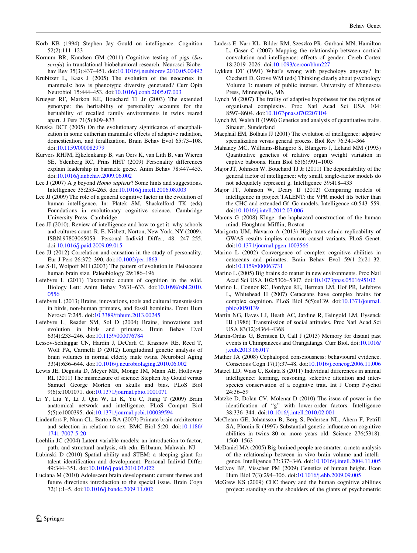- <span id="page-25-0"></span>Korb KB (1994) Stephen Jay Gould on intelligence. Cognition 52(2):111–123
- Kornum BR, Knudsen GM (2011) Cognitive testing of pigs (Sus scrofa) in translational biobehavioral research. Neurosci Biobehav Rev 35(3):437–451. doi:[10.1016/j.neubiorev.2010.05.00492](http://dx.doi.org/10.1016/j.neubiorev.2010.05.00492)
- Krubitzer L, Kaas J (2005) The evolution of the neocortex in mammals: how is phenotypic diversity generated? Curr Opin Neurobiol 15:444–453. doi:[10.1016/j.conb.2005.07.003](http://dx.doi.org/10.1016/j.conb.2005.07.003)
- Krueger RF, Markon KE, Bouchard TJ Jr (2003) The extended genotype: the heritability of personality accounts for the heritability of recalled family environments in twins reared apart. J Pers 71(5):809–833
- Kruska DCT (2005) On the evolutionary significance of encephalization in some eutherian mammals: effects of adaptive radiation, domestication, and ferallization. Brain Behav Evol 65:73–108. doi[:10.1159/000082979](http://dx.doi.org/10.1159/000082979)
- Kurvers RHJM, Ejkelenkamp B, van Oers K, van Lith B, van Wieren SE, Ydenberg RC, Prins HHT (2009) Personality differences explain leadership in barnacle geese. Anim Behav 78:447–453. doi[:10.1016/j.anbehav.2009.06.002](http://dx.doi.org/10.1016/j.anbehav.2009.06.002)
- Lee J (2007) A g beyond *Homo sapiens*? Some hints and suggestions. Intelligence 35:253–265. doi:[10.1016/j.intell.2006.08.003](http://dx.doi.org/10.1016/j.intell.2006.08.003)
- Lee JJ (2009) The role of a general cognitive factor in the evolution of human intelligence. In: Platek SM, Shackelford TK (eds) Foundations in evolutionary cognitive science. Cambridge University Press, Cambridge
- Lee JJ (2010). Review of intelligence and how to get it: why schools and cultures count, R. E. Nisbett, Norton, New York, NY (2009). ISBN:97803065053. Personal Individ Differ, 48, 247–255. doi[:10.1016/j.paid.2009.09.015](http://dx.doi.org/10.1016/j.paid.2009.09.015)
- Lee JJ (2012) Correlation and causation in the study of personality. Eur J Pers 26:372–390. doi[:10.1002/per.1863](http://dx.doi.org/10.1002/per.1863)
- Lee S-H, Wolpoff MH (2003) The pattern of evolution in Pleistocene human brain size. Paleobiology 29:186–196
- Lefebvre L (2011) Taxonomic counts of cognition in the wild. Biology Lett: Anim Behav 7:631–633. doi[:10.1098/rsbl.2010.](http://dx.doi.org/10.1098/rsbl.2010.0556) [0556](http://dx.doi.org/10.1098/rsbl.2010.0556)
- Lefebvre L (2013) Brains, innovations, tools and cultural transmission in birds, non-human primates, and fossil hominins. Front Hum Nerosci 7:245. doi:[10.3389/fnhum.2013.00245](http://dx.doi.org/10.3389/fnhum.2013.00245)
- Lefebvre L, Reader SM, Sol D (2004) Brains, innovations and evolution in birds and primates. Brain Behav Evol 63(4):233–246. doi:[10.1159/000076784](http://dx.doi.org/10.1159/000076784)
- Lessov-Schlaggar CN, Hardin J, DeCarli C, Krasnow RE, Reed T, Wolf PA, Carmelli D (2012) Longitudinal genetic analysis of brain volumes in normal elderly male twins. Neurobiol Aging 33(4):636–644. doi:[10.1016/j.neurobiolaging.2010.06.002](http://dx.doi.org/10.1016/j.neurobiolaging.2010.06.002)
- Lewis JE, Degusta D, Meyer MR, Monge JM, Mann AE, Holloway RL (2011) The mismeasure of science: Stephen Jay Gould versus Samuel George Morton on skulls and bias. PLoS Biol 9(6):e1001071. doi[:10.1371/journal.pbio.1001071](http://dx.doi.org/10.1371/journal.pbio.1001071)
- Li Y, Liu Y, Li J, Qin W, Li K, Yu C, Jiang T (2009) Brain anatomical network and intelligence. PLoS Comput Biol 5(5):e1000395. doi[:10.1371/journal.pcbi.100039594](http://dx.doi.org/10.1371/journal.pcbi.100039594)
- Lindenfors P, Nunn CL, Barton RA (2007) Primate brain architecture and selection in relation to sex. BMC Biol 5:20. doi[:10.1186/](http://dx.doi.org/10.1186/1741-7007-5-20) [1741-7007-5-20](http://dx.doi.org/10.1186/1741-7007-5-20)
- Loehlin JC (2004) Latent variable models: an introduction to factor, path, and structural analysis, 4th edn. Erlbaum, Mahwah, NJ
- Lubinski D (2010) Spatial ability and STEM: a sleeping giant for talent identification and development. Personal Individ Differ 49:344–351. doi:[10.1016/j.paid.2010.03.022](http://dx.doi.org/10.1016/j.paid.2010.03.022)
- Luciana M (2010) Adolescent brain development: current themes and future directions introduction to the special issue. Brain Cogn 72(1):1–5. doi:[10.1016/j.bandc.2009.11.002](http://dx.doi.org/10.1016/j.bandc.2009.11.002)
- Luders E, Narr KL, Bilder RM, Szeszko PR, Gurbani MN, Hamilton L, Gaser C (2007) Mapping the relationship between cortical convolution and intelligence: effects of gender. Cereb Cortex 18:2019–2026. doi[:10.1093/cercor/bhm227](http://dx.doi.org/10.1093/cercor/bhm227)
- Lykken DT (1991) What's wrong with psychology anyway? In: Cicchetti D, Grove WM (eds) Thinking clearly about psychology Volume 1: matters of public interest. University of Minnesota Press, Minneapolis, MN
- Lynch M (2007) The frailty of adaptive hypotheses for the origins of organismal complexity. Proc Natl Acad Sci USA 104: 8597–8604. doi[:10.1073pnas.0702207104](http://dx.doi.org/10.1073pnas.0702207104)
- Lynch M, Walsh B (1998) Genetics and analysis of quantitative traits. Sinauer, Sunderland
- Macphail EM, Bolhuis JJ (2001) The evolution of intelligence: adpative specialization versus general process. Biol Rev 76:341–364
- Mahaney MC, Williams-Blangero S, Blangero J, Leland MM (1993) Quantitative genetics of relative organ weight variation in captive baboons. Hum Biol 65(6):991–1003
- Major JT, Johnson W, Bouchard TJ Jr (2011) The dependability of the general factor of intelligence: why small, single-factor models do not adequately represent g. Intelligence 39:418–433
- Major JT, Johnson W, Deary IJ (2012) Comparing models of intelligence in project TALENT: the VPR model fits better than the CHC and extended Gf–Gc models. Intelligence 40:543–559. doi[:10.1016/j.intell.2012.07.006](http://dx.doi.org/10.1016/j.intell.2012.07.006)
- Marcus G (2008) Kluge: the haphazard construction of the human mind. Houghton Mifflin, Boston
- Marigorta UM, Navarro A (2013) High trans-ethnic replicability of GWAS results implies common causal variants. PLoS Genet. doi[:10.1371/journal.pgen.1003566](http://dx.doi.org/10.1371/journal.pgen.1003566)
- Marino L (2002) Convergence of complex cognitive abilities in cetaceans and primates. Brain Behav Evol 59(1–2):21–32. doi[:10.1159/000063731](http://dx.doi.org/10.1159/000063731)
- Marino L (2005) Big brains do matter in new environments. Proc Natl Acad Sci USA 102:5306–5307. doi:[10.1073pnas.0501695102](http://dx.doi.org/10.1073pnas.0501695102)
- Marino L, Connor RC, Fordyce RE, Herman LM, Hof PR, Lefebvre L, Whitehead H (2007) Cetaceans have complex brains for complex cognition. PLoS Biol 5(5):e139. doi[:10.1371/journal.](http://dx.doi.org/10.1371/journal.pbio.0050139) [pbio.0050139](http://dx.doi.org/10.1371/journal.pbio.0050139)
- Martin NG, Eaves LJ, Heath AC, Jardine R, Feingold LM, Eysenck HJ (1986) Transmission of social attitudes. Proc Natl Acad Sci USA 83(12):4364–4368
- Martin-Ordas G, Berntsen D, Call J (2013) Memory for distant past events in Chimpanzees and Orangatangs. Curr Biol. doi[:10.1016/](http://dx.doi.org/10.1016/j.cub.2013.06.017) [j.cub.2013.06.017](http://dx.doi.org/10.1016/j.cub.2013.06.017)
- Mather JA (2008) Cephalopod consciousness: behavioural evidence. Conscious Cogn 17(1):37–48. doi:[10.1016/j.concog.2006.11.006](http://dx.doi.org/10.1016/j.concog.2006.11.006)
- Matzel LD, Wass C, Kolata S (2011) Individual differences in animal intelligence: learning, reasoning, selective attention and interspecies conservation of a cognitve trait. Int J Comp Psychol 24:36–59
- Matzke D, Dolan CV, Molenar D (2010) The issue of power in the identification of "g" with lower-order factors. Intelligence 38:336–344. doi:[10.1016/j.intell.2010.02.001](http://dx.doi.org/10.1016/j.intell.2010.02.001)
- McClearn GE, Johansson B, Berg S, Pedersen NL, Ahern F, Petrill SA, Plomin R (1997) Substantial genetic influence on cognitive abilities in twins 80 or more years old. Science 276(5318): 1560–1563
- McDaniel MA (2005) Big-brained people are smarter: a meta-analysis of the relationship between in vivo brain volume and intelligence. Intelligence 33:337–346. doi:[10.1016/j.intell.2004.11.005](http://dx.doi.org/10.1016/j.intell.2004.11.005)
- McEvoy BP, Visscher PM (2009) Genetics of human height. Econ Hum Biol 7(3):294–306. doi:[10.1016/j.ehb.2009.09.005](http://dx.doi.org/10.1016/j.ehb.2009.09.005)
- McGrew KS (2009) CHC theory and the human cognitive abilities project: standing on the shoulders of the giants of psychometric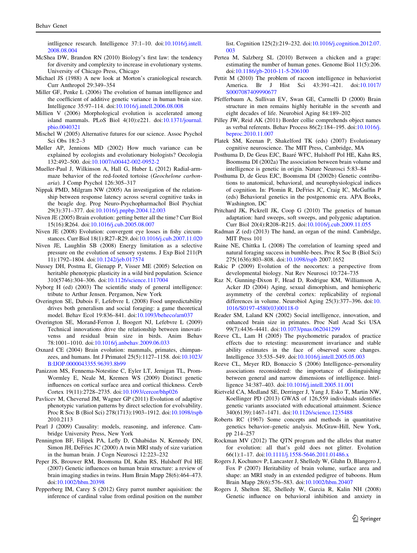<span id="page-26-0"></span>intlligence research. Intelligence 37:1–10. doi[:10.1016/j.intell.](http://dx.doi.org/10.1016/j.intell.2008.08.004) [2008.08.004](http://dx.doi.org/10.1016/j.intell.2008.08.004)

- McShea DW, Brandon RN (2010) Biology's first law: the tendency for diversity and complexity to increase in evolutionary systems. University of Chicago Press, Chicago
- Michael JS (1988) A new look at Morton's craniological research. Curr Anthropol 29:349–354
- Miller GF, Penke L (2006) The evolution of human intelligence and the coefficient of additive genetic variance in human brain size. Intelligence 35:97–114. doi:[10.1016/j.intell.2006.08.008](http://dx.doi.org/10.1016/j.intell.2006.08.008)
- Millien V (2006) Morphological evolution is accelerated among island mammals. PLoS Biol 4(10):e221. doi[:10.1371/journal.](http://dx.doi.org/10.1371/journal.pbio.0040321) [pbio.0040321](http://dx.doi.org/10.1371/journal.pbio.0040321)
- Mischel W (2005) Alternative futures for our science. Assoc Psychol Sci Obs 18:2–3
- Møller AP, Jennions MD (2002) How much variance can be explained by ecologists and evolutionary biologists? Oecologia 132:492–500. doi:[10.1007/s00442-002-0952-2](http://dx.doi.org/10.1007/s00442-002-0952-2)
- Mueller-Paul J, Wilkinson A, Hall G, Huber L (2012) Radial-armmaze behavior of the red-footed tortoise (Geochelone carbonaria). J Comp Psychol 126:305–317
- Nippak PMD, Milgram NW (2005) An investigation of the relationship between response latency across several cognitive tasks in the beagle dog. Prog Neuro-Psychopharmachol Biol Psychiat 29(3):371–377. doi:[10.1016/j.pnpbp.2004.12.003](http://dx.doi.org/10.1016/j.pnpbp.2004.12.003)
- Niven JE (2005) Brain evolution: getting better all the time? Curr Biol 15(16):R264. doi:[10.1016/j.cub.2005.08.007](http://dx.doi.org/10.1016/j.cub.2005.08.007)
- Niven JE (2008) Evolution: convergent eye losses in fishy circumstances. Curr Biol 18(1):R27–R29. doi[:10.1016/j.cub.2007.11.020](http://dx.doi.org/10.1016/j.cub.2007.11.020)
- Niven JE, Laughlin SB (2008) Energy limitation as a selective pressure on the evolution of sensory systems. J Exp Biol 211(Pt 11):1792–1804. doi[:10.1242/jeb.017574](http://dx.doi.org/10.1242/jeb.017574)
- Nussey DH, Postma E, Gienapp P, Visser ME (2005) Selection on heritable phenotypic plasticity in a wild bird population. Science 310(5746):304–306. doi:[10.1126/science.1117004](http://dx.doi.org/10.1126/science.1117004)
- Nyborg H (ed) (2003) The scientific study of general intelligence: tribute to Arthur Jensen. Pergamon, New York
- Overington SE, Dubois F, Lefebvre L (2008) Food unpredictability drives both generalism and social foraging: a game theoretical model. Behav Ecol 19:836–841. doi:[10.1093/beheco/arn037](http://dx.doi.org/10.1093/beheco/arn037)
- Overington SE, Morand-Ferron J, Boogert NJ, Lefebvre L (2009) Technical innovations drive the relationship between innovativenss and residual brain size in birds. Anim Behav 78:1001–1010. doi[:10.1016/j.anbehav.2009.06.033](http://dx.doi.org/10.1016/j.anbehav.2009.06.033)
- Oxnard CE (2004) Brain evolution: mammals, primates, chimpanzees, and humans. Int J Primatol 25(5):1127–1158. doi[:10.1023/](http://dx.doi.org/10.1023/B:IJOP.0000043355.96393.8b99) [B:IJOP.0000043355.96393.8b99](http://dx.doi.org/10.1023/B:IJOP.0000043355.96393.8b99)
- Panizzon MS, Fennema-Notestine C, Eyler LT, Jernigan TL, Prom-Wormley E, Neale M, Kremen WS (2009) Distinct genetic influences on cortical surface area and cortical thickness. Cereb Cortex 19(11):2728–2735. doi[:10.1093/cercor/bhp026](http://dx.doi.org/10.1093/cercor/bhp026)
- Pavlicev M, Cheverud JM, Wagner GP (2011) Evolution of adaptive phenotypic variation patterns by direct selection for evolvability. Proc R Soc B (Biol Sci) 278(1713):1903–1912. doi:[10.1098/rspb](http://dx.doi.org/10.1098/rspb) 2010.2113
- Pearl J (2009) Causality: models, reasoning, and inference. Cambridge University Press, New York
- Pennington BF, Filipek PA, Lefly D, Chhabidas N, Kennedy DN, Simon JH, DeFries JC (2000) A twin MRI study of size variation in the human brain. J Cogn Neurosci 12:223–232
- Peper JS, Brouwer RM, Boomsma DI, Kahn RS, Hulshoff Pol HE (2007) Genetic influences on human brain structure: a review of brain imaging studies in twins. Hum Brain Mapp 28(6):464–473. doi[:10.1002/hbm.20398](http://dx.doi.org/10.1002/hbm.20398)
- Pepperberg IM, Carey S (2012) Grey parrot number aquisition: the inference of cardinal value from ordinal position on the number

list. Cognition 125(2):219–232. doi:[10.1016/j.cognition.2012.07.](http://dx.doi.org/10.1016/j.cognition.2012.07.003) [003](http://dx.doi.org/10.1016/j.cognition.2012.07.003)

- Pertea M, Salzberg SL (2010) Between a chicken and a grape: estimating the number of human genes. Genome Biol 11(5):206. doi[:10.1186/gb-2010-11-5-206100](http://dx.doi.org/10.1186/gb-2010-11-5-206100)
- Pettit M (2010) The problem of racoon intelligence in behaviorist America. Br J Hist Sci 43:391–421. doi[:10.1017/](http://dx.doi.org/10.1017/S0007087409990677) [S0007087409990677](http://dx.doi.org/10.1017/S0007087409990677)
- Pfefferbaum A, Sullivan EV, Swan GE, Carmelli D (2000) Brain structure in men remains highly heritable in the seventh and eight decades of life. Neurobiol Aging 84:189–202
- Pilley JW, Reid AK (2011) Border collie comprehends object names as verbal referents. Behav Process 86(2):184–195. doi:[10.1016/j.](http://dx.doi.org/10.1016/j.beproc.2010.11.007) [beproc.2010.11.007](http://dx.doi.org/10.1016/j.beproc.2010.11.007)
- Platek SM, Keenan P, Shakelford TK (eds) (2007) Evolutionary cognitive neuroscience. The MIT Press, Cambridge, MA
- Posthuma D, De Geus EJC, Baaré WFC, Hulshoff Pol HE, Kahn RS, Boomsma DI (2002a) The association between brain volume and intelligence is genetic in origin. Nature Neurosci 5:83–84
- Posthuma D, de Geus EJC, Boomsma DI (2002b) Genetic contributions to anatomical, behavioral, and neurophysiological indices of cognition. In: Plomin R, DeFries JC, Craig IC, McGuffin P (eds) Behavioral genetics in the postgenomic era. APA Books, Washington, DC
- Pritchard JK, Pickrell JK, Coop G (2010) The genetics of human adaptation: hard sweeps, soft sweeps, and polygenic adaptation. Curr Biol 20(4):R208–R215. doi:[10.1016/j.cub.2009.11.055](http://dx.doi.org/10.1016/j.cub.2009.11.055)
- Radman Z (ed) (2013) The hand, an organ of the mind. Cambridge, MIT Press 101
- Raine NE, Chittka L (2008) The correlation of learning speed and natural foraging success in bumble-bees. Proc R Soc B (Biol Sci) 275(1636):803–808. doi:[10.1098/rspb](http://dx.doi.org/10.1098/rspb) 2007.1652
- Rakic P (2009) Evolution of the neocortex: a perspective from developmental biology. Nat Rev Neurosci 10:724–735
- Raz N, Gunning-Dixon F, Head D, Rodrigue KM, Williamson A, Acker JD (2004) Aging, sexual dimorphism, and hemispheric asymmetry of the cerebral cortex: replicability of regional differences in volume. Neurobiol Aging 25(3):377–396. doi:[10.](http://dx.doi.org/10.1016/S0197-4580(03)00118-0) [1016/S0197-4580\(03\)00118-0](http://dx.doi.org/10.1016/S0197-4580(03)00118-0)
- Reader SM, Laland KN (2002) Social intelligence, innovation, and enhanced brain size in primates. Proc Natl Acad Sci USA 99(7):4436–4441. doi[:10.1073/pnas.062041299](http://dx.doi.org/10.1073/pnas.062041299)
- Reeve CL, Lam H (2005) The psychometric paradox of practice effects due to retesting: measurement invariance and stable ability estimates in the face of observed score changes. Intelligence 33:535–549. doi:[10.1016/j.intell.2005.05.003](http://dx.doi.org/10.1016/j.intell.2005.05.003)
- Reeve CL, Meyer RD, Bonaccio S (2006) Intelligence–personality associations reconsidered: the importance of distinguishing between general and narrow dimensions of intelligence. Intelligence 34:387–403. doi[:10.1016/j.intell.2005.11.001](http://dx.doi.org/10.1016/j.intell.2005.11.001)
- Rietveld CA, Medland SE, Derringer J, Yang J, Esko T, Martin NW, Koellinger PD (2013) GWAS of 126,559 individuals identifies genetic variants associated with educational attainment. Science 340(6139):1467–1471. doi[:10.1126/science.1235488](http://dx.doi.org/10.1126/science.1235488)
- Roberts RC (1967) Some concepts and methods in quantitative genetics behavior–genetic analysis. McGraw-Hill, New York, pp 214–257
- Rockman MV (2012) The QTN program and the alleles that matter for evolution: all that's gold does not glitter. Evolution 66(1):1–17. doi[:10.1111/j.1558-5646.2011.01486.x](http://dx.doi.org/10.1111/j.1558-5646.2011.01486.x)
- Rogers J, Kochunov P, Lancaster J, Shelledy W, Glahn D, Blangero J, Fox P (2007) Heritability of brain volume, surface area and shape: an MRI study in an extended pedigree of baboons. Hum Brain Mapp 28(6):576–583. doi:[10.1002/hbm.20407](http://dx.doi.org/10.1002/hbm.20407)
- Rogers J, Shelton SE, Shelledy W, Garcia R, Kalin NH (2008) Genetic influence on behavioral inhibition and anxiety in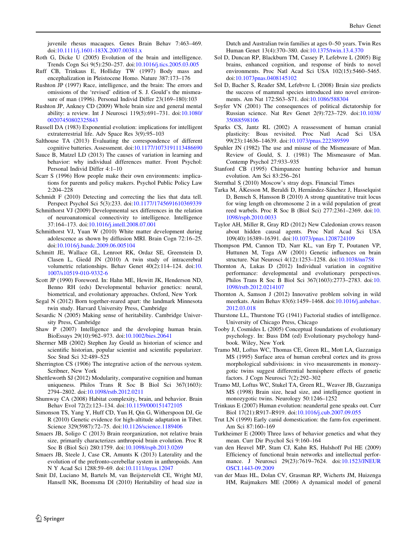<span id="page-27-0"></span>juvenile rhesus macaques. Genes Brain Behav 7:463–469. doi[:10.1111/j.1601-183X.2007.00381.x](http://dx.doi.org/10.1111/j.1601-183X.2007.00381.x)

- Roth G, Dicke U (2005) Evolution of the brain and intelligence. Trends Cogn Sci 9(5):250–257. doi:[10.1016/j.tics.2005.03.005](http://dx.doi.org/10.1016/j.tics.2005.03.005)
- Ruff CB, Trinkaus E, Holliday TW (1997) Body mass and encephalization in Pleistocene Homo. Nature 387:173–176
- Rushton JP (1997) Race, intelligence, and the brain: The errors and omissions of the 'revised' edition of S. J. Gould's the mismeasure of man (1996). Personal Individ Differ 23(169–180):103
- Rushton JP, Ankney CD (2009) Whole brain size and general mental ability: a review. Int J Neurosci 119(5):691–731. doi[:10.1080/](http://dx.doi.org/10.1080/00207450802325843) [00207450802325843](http://dx.doi.org/10.1080/00207450802325843)
- Russell DA (1983) Exponential evolution: implications for intelligent extraterrestrial life. Adv Space Res 3(9):95–103
- Salthouse TA (2013) Evaluating the correspondence of different cognitive batteries. Assessment. doi[:10.1177/1073191113486690](http://dx.doi.org/10.1177/1073191113486690)
- Sauce B, Matzel LD (2013) The causes of variation in learning and behavior: why individual differences matter. Front Psychol: Personal Individ Differ 4:1–10
- Scarr S (1996) How people make their own environments: implications for parents and policy makers. Psychol Public Policy Law 2:204–228
- Schmidt F (2010) Detecting and correcting the lies that data tell. Perspect Psychol Sci 5(3):233. doi[:10.1177/1745691610369339](http://dx.doi.org/10.1177/1745691610369339)
- Schmithorst VJ (2009) Developmental sex differences in the relation of neuroanatomical connectivity to intelligence. Intelligence 37:164–173. doi:[10.1016/j.intell.2008.07.001](http://dx.doi.org/10.1016/j.intell.2008.07.001)
- Schmithorst VJ, Yuan W (2010) White matter development during adolescence as shown by diffusion MRI. Brain Cogn 72:16–25. doi[:10.1016/j.bandc.2009.06.005104](http://dx.doi.org/10.1016/j.bandc.2009.06.005104)
- Schmitt JE, Wallace GL, Lenroot RK, Ordaz SE, Greenstein D, Clasen L, Giedd JN (2010) A twin study of intracerebral volumetric relationships. Behav Genet 40(2):114–124. doi:[10.](http://dx.doi.org/10.1007/s10519-010-9332-6) [1007/s10519-010-9332-6](http://dx.doi.org/10.1007/s10519-010-9332-6)
- Scott JP (1990) Foreword. In: Hahn ME, Hewitt JK, Henderson ND, Benno RH (eds) Developmental behavior genetics: neural, biometrical, and evolutionary approaches. Oxford, New York
- Segal N (2012) Born together-reared apart: the landmark Minnesota twin study. Harvard University Press, Cambridge
- Sesardic N (2005) Making sense of heritability. Cambridge University Press, Cambridge
- Shaw P (2007) Intelligence and the developing human brain. BioEssays 29(10):962–973. doi:[10.1002/bies.20641](http://dx.doi.org/10.1002/bies.20641)
- Shermer MB (2002) Stephen Jay Gould as historian of science and scientific historian, popular scientist and scientific popularizer. Soc Stud Sci 32:489–525
- Sherrington CS (1906) The integrative action of the nervous system. Scribner, New York
- Shettleworth SJ (2012) Modularity, comparative cognition and human uniqueness. Philos Trans R Soc B Biol Sci 367(1603): 2794–2802. doi[:10.1098/rstb.2012.0211](http://dx.doi.org/10.1098/rstb.2012.0211)
- Shumway CA (2008) Habitat complexity, brain, and behavior. Brain Behav Evol 72(2):123–134. doi:[10.1159/000151472105](http://dx.doi.org/10.1159/000151472105)
- Simonson TS, Yang Y, Huff CD, Yun H, Qin G, Witherspoon DJ, Ge R (2010) Genetic evidence for high-altitude adaptation in Tibet. Science 329(5987):72–75. doi[:10.1126/science.1189406](http://dx.doi.org/10.1126/science.1189406)
- Smaers JB, Soligo C (2013) Brain reorganization, not relative brain size, primarily characterizes anthropoid brain evolution. Proc R Soc B (Biol Sci) 280:1759. doi:[10.1098/rspb.2013.0269](http://dx.doi.org/10.1098/rspb.2013.0269)
- Smaers JB, Steele J, Case CR, Amunts K (2013) Laterality and the evolution of the prefronto-cerebellar system in anthropoids. Ann N Y Acad Sci 1288:59–69. doi:[10.1111/nyas.12047](http://dx.doi.org/10.1111/nyas.12047)
- Smit DJ, Luciano M, Bartels M, van Beijsterveldt CE, Wright MJ, Hansell NK, Boomsma DI (2010) Heritability of head size in

Dutch and Australian twin families at ages 0–50 years. Twin Res Human Genet 13(4):370–380. doi:[10.1375/twin.13.4.370](http://dx.doi.org/10.1375/twin.13.4.370)

- Sol D, Duncan RP, Blackburn TM, Cassey P, Lefebvre L (2005) Big brains, enhanced cognition, and response of birds to novel environments. Proc Natl Acad Sci USA 102(15):5460–5465. doi[:10.1073pnas.0408145102](http://dx.doi.org/10.1073pnas.0408145102)
- Sol D, Bacher S, Reader SM, Lefebvre L (2008) Brain size predicts the success of mammal species introduced into novel environments. Am Nat 172:S63–S71. doi:[10.1086/588304](http://dx.doi.org/10.1086/588304)
- Soyfer VN (2001) The consequences of political dictatorship for Russian science. Nat Rev Genet 2(9):723–729. doi[:10.1038/](http://dx.doi.org/10.1038/35088598106) [35088598106](http://dx.doi.org/10.1038/35088598106)
- Sparks CS, Jantz RL (2002) A reassessment of human cranial plasticity: Boas revisited. Proc Natl Acad Sci USA 99(23):14636–14639. doi:[10.1073/pnas.222389599](http://dx.doi.org/10.1073/pnas.222389599)
- Spuhler JN (1982) The use and misuse of the Mismeasure of Man. Review of Gould, S. J. (1981) The Mismeasure of Man. Contemp Psychol 27:933–935
- Stanford CB (1995) Chimpanzee hunting behavior and human evolution. Am Sci 83:256–261
- Sternthal S (2010) Moscow's stray dogs. Financial Times
- Tarka M, ÅKesson M, Beraldi D, Hernández-Sánchez J, Hasselquist D, Bensch S, Hansson B (2010) A strong quantitative trait locus for wing length on chromosome 2 in a wild population of great reed warbels. Proc R Soc B (Biol Sci) 277:2361–2369. doi:[10.](http://dx.doi.org/10.1098/rspb.2010.0033) [1098/rspb.2010.0033](http://dx.doi.org/10.1098/rspb.2010.0033)
- Taylor AH, Miller R, Gray RD (2012) New Caledonian crows reason about hidden causal agents. Proc Natl Acad Sci USA 109(40):16389–16391. doi[:10.1073/pnas.1208724109](http://dx.doi.org/10.1073/pnas.1208724109)
- Thompson PM, Cannon TD, Narr KL, van Erp T, Poutanen VP, Huttunen M, Toga AW (2001) Genetic influences on brain structure. Nat Neurosci 4(12):1253–1258. doi[:10.1038/nn758](http://dx.doi.org/10.1038/nn758)
- Thornton A, Lukas D (2012) Individual variation in cognitive performance: developmental and evolutionary perspectives. Philos Trans R Soc B Biol Sci 367(1603):2773–2783. doi:[10.](http://dx.doi.org/10.1098/rstb.2012.0214107) [1098/rstb.2012.0214107](http://dx.doi.org/10.1098/rstb.2012.0214107)
- Thornton A, Samson J (2012) Innovative problem solving in wild meerkats. Anim Behav 83(6):1459–1468. doi[:10.1016/j.anbehav.](http://dx.doi.org/10.1016/j.anbehav.2012.03.018) [2012.03.018](http://dx.doi.org/10.1016/j.anbehav.2012.03.018)
- Thurstone LL, Thurstone TG (1941) Factorial studies of intelligence. University of Chicago Press, Chicago
- Tooby J, Cosmides L (2005) Conceptual foundations of evolutionary psychology. In: Buss DM (ed) Evolutionary psychology handbook. Wiley, New York
- Tramo MJ, Loftus WC, Thomas CE, Green RL, Mott LA, Gazzaniga MS (1995) Surface area of human cerebral cortex and its gross morphological subdivisions: in vivo measurements in monozygotic twins suggest differential hemisphere effects of genetic factors. J Cogn Neurosci 7(2):292–302
- Tramo MJ, Loftus WC, Stukel TA, Green RL, Weaver JB, Gazzaniga MS (1998) Brain size, head size, and intelligence quotient in monozygotic twins. Neurology 50:1246–1252
- Trinkaus E (2007) Human evolution: neandertal gene speaks out. Curr Biol 17(21):R917–R919. doi:[10.1016/j.cub.2007.09.055](http://dx.doi.org/10.1016/j.cub.2007.09.055)
- Trut LN (1999) Early canid domestication: the farm-fox experiment. Am Sci 87:160–169
- Turkheimer E (2000) Three laws of behavior genetics and what they mean. Curr Dir Psychol Sci 9:160–164
- van den Heuvel MP, Stam CJ, Kahn RS, Hulshoff Pol HE (2009) Efficiency of functional brain networks and intellectual performance. J Neurosci 29(23):7619–7624. doi[:10.1523/JNEUR](http://dx.doi.org/10.1523/JNEUROSCI.1443-09.2009) [OSCI.1443-09.2009](http://dx.doi.org/10.1523/JNEUROSCI.1443-09.2009)
- van der Maas HL, Dolan CV, Grasman RP, Wicherts JM, Huizenga HM, Raijmakers ME (2006) A dynamical model of general